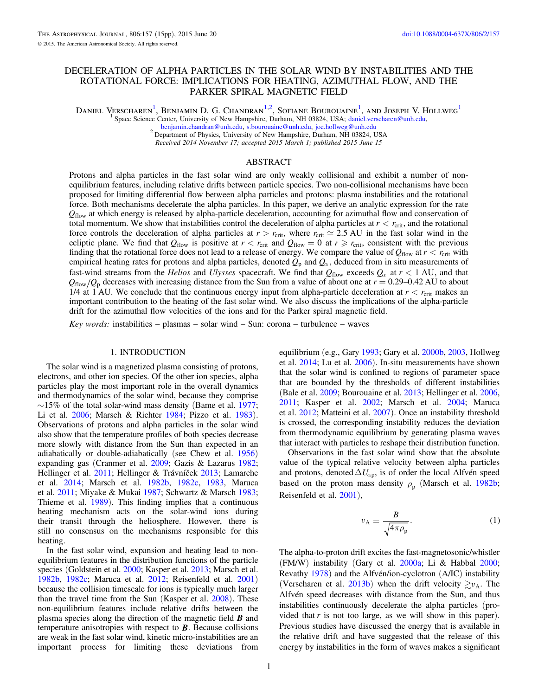# <span id="page-0-0"></span>DECELERATION OF ALPHA PARTICLES IN THE SOLAR WIND BY INSTABILITIES AND THE ROTATIONAL FORCE: IMPLICATIONS FOR HEATING, AZIMUTHAL FLOW, AND THE PARKER SPIRAL MAGNETIC FIELD

Daniel Verscharen<sup>1</sup>, Benjamin D. G. Chandran<sup>1,2</sup>, Sofiane Bourouaine<sup>1</sup>, and Joseph V. Hollweg<sup>1</sup>

<sup>1</sup> Space Science Center, University of New Hampshire, Durham, NH 03824, USA; [daniel.verscharen@unh.edu,](mailto:daniel.verscharen@unh.edu)

<sup>2</sup> Department of Physics, University of New Hampshire, Durham, NH 03824, USA

Received 2014 November 17; accepted 2015 March 1; published 2015 June 15

### ABSTRACT

Protons and alpha particles in the fast solar wind are only weakly collisional and exhibit a number of nonequilibrium features, including relative drifts between particle species. Two non-collisional mechanisms have been proposed for limiting differential flow between alpha particles and protons: plasma instabilities and the rotational force. Both mechanisms decelerate the alpha particles. In this paper, we derive an analytic expression for the rate  $Q_{flow}$  at which energy is released by alpha-particle deceleration, accounting for azimuthal flow and conservation of total momentum. We show that instabilities control the deceleration of alpha particles at  $r < r_{\rm crit}$ , and the rotational force controls the deceleration of alpha particles at  $r > r_{\text{crit}}$ , where  $r_{\text{crit}} \approx 2.5 \text{ AU}$  in the fast solar wind in the ecliptic plane. We find that  $Q_{flow}$  is positive at  $r < r_{crit}$  and  $Q_{flow} = 0$  at  $r \ge r_{crit}$ , consistent with the previous finding that the rotational force does not lead to a release of energy. We compare the value of  $Q_{flow}$  at  $r < r_{crit}$  with empirical heating rates for protons and alpha particles, denoted  $Q_p$  and  $Q_\alpha$ , deduced from in situ measurements of fast-wind streams from the Helios and Ulysses spacecraft. We find that  $Q_{flow}$  exceeds  $Q_{\alpha}$  at  $r < 1$  AU, and that  $Q_{\text{flow}}/Q_p$  decreases with increasing distance from the Sun from a value of about one at  $r = 0.29$ –0.42 AU to about 1/4 at 1 AU. We conclude that the continuous energy input from alpha-particle deceleration at  $r < r_{\text{crit}}$  makes an important contribution to the heating of the fast solar wind. We also discuss the implications of the alpha-particle drift for the azimuthal flow velocities of the ions and for the Parker spiral magnetic field.

Key words: instabilities – plasmas – solar wind – Sun: corona – turbulence – waves

### 1. INTRODUCTION

The solar wind is a magnetized plasma consisting of protons, electrons, and other ion species. Of the other ion species, alpha particles play the most important role in the overall dynamics and thermodynamics of the solar wind, because they comprise  $\sim$ 15% of the total solar-wind mass density (Bame et al. [1977](#page-13-0); Li et al. [2006;](#page-13-0) Marsch & Richter [1984;](#page-13-0) Pizzo et al. [1983](#page-14-0)). Observations of protons and alpha particles in the solar wind also show that the temperature profiles of both species decrease more slowly with distance from the Sun than expected in an adiabatically or double-adiabatically (see Chew et al. [1956](#page-13-0)) expanding gas (Cranmer et al. [2009;](#page-13-0) Gazis & Lazarus [1982](#page-13-0); Hellinger et al. [2011](#page-13-0); Hellinger & Trávníček [2013](#page-13-0); Lamarche et al. [2014;](#page-13-0) Marsch et al. [1982b,](#page-13-0) [1982c,](#page-13-0) [1983,](#page-13-0) Maruca et al. [2011](#page-13-0); Miyake & Mukai [1987](#page-14-0); Schwartz & Marsch [1983](#page-14-0); Thieme et al. [1989](#page-14-0)). This finding implies that a continuous heating mechanism acts on the solar-wind ions during their transit through the heliosphere. However, there is still no consensus on the mechanisms responsible for this heating.

In the fast solar wind, expansion and heating lead to nonequilibrium features in the distribution functions of the particle species (Goldstein et al. [2000](#page-13-0); Kasper et al. [2013;](#page-13-0) Marsch et al. [1982b,](#page-13-0) [1982c;](#page-13-0) Maruca et al. [2012;](#page-13-0) Reisenfeld et al. [2001](#page-14-0)) because the collision timescale for ions is typically much larger than the travel time from the Sun (Kasper et al. [2008](#page-13-0)). These non-equilibrium features include relative drifts between the plasma species along the direction of the magnetic field *B* and temperature anisotropies with respect to *B*. Because collisions are weak in the fast solar wind, kinetic micro-instabilities are an important process for limiting these deviations from

equilibrium (e.g., Gary [1993](#page-13-0); Gary et al. [2000b](#page-13-0), [2003](#page-13-0), Hollweg et al. [2014;](#page-13-0) Lu et al. [2006](#page-13-0)). In-situ measurements have shown that the solar wind is confined to regions of parameter space that are bounded by the thresholds of different instabilities (Bale et al. [2009](#page-13-0); Bourouaine et al. [2013;](#page-13-0) Hellinger et al. [2006](#page-13-0), [2011;](#page-13-0) Kasper et al. [2002;](#page-13-0) Marsch et al. [2004](#page-13-0); Maruca et al. [2012](#page-13-0); Matteini et al. [2007](#page-14-0)). Once an instability threshold is crossed, the corresponding instability reduces the deviation from thermodynamic equilibrium by generating plasma waves that interact with particles to reshape their distribution function.

Observations in the fast solar wind show that the absolute value of the typical relative velocity between alpha particles and protons, denoted  $\Delta U_{\alpha p}$ , is of order the local Alfvén speed based on the proton mass density  $\rho_p$  (Marsch et al. [1982b](#page-13-0); Reisenfeld et al. [2001](#page-14-0)),

$$
v_{\rm A} \equiv \frac{B}{\sqrt{4\pi\rho_{\rm p}}}.\tag{1}
$$

The alpha-to-proton drift excites the fast-magnetosonic/whistler (FM/W) instability (Gary et al. [2000a;](#page-13-0) Li & Habbal [2000](#page-13-0); Revathy [1978](#page-14-0)) and the Alfvén/ion-cyclotron (A/IC) instability (Verscharen et al. [2013b](#page-14-0)) when the drift velocity  $\gtrsim v_A$ . The Alfvén speed decreases with distance from the Sun, and thus instabilities continuously decelerate the alpha particles (provided that  $r$  is not too large, as we will show in this paper). Previous studies have discussed the energy that is available in the relative drift and have suggested that the release of this energy by instabilities in the form of waves makes a significant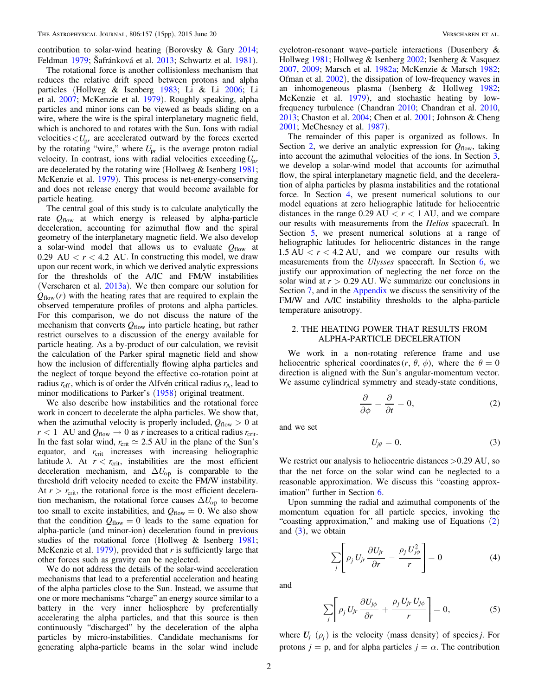<span id="page-1-0"></span>contribution to solar-wind heating (Borovsky & Gary [2014](#page-13-0); Feldman [1979;](#page-13-0) Šafránková et al. [2013](#page-14-0); Schwartz et al. [1981](#page-14-0)).

The rotational force is another collisionless mechanism that reduces the relative drift speed between protons and alpha particles (Hollweg & Isenberg [1983;](#page-13-0) Li & Li [2006;](#page-13-0) Li et al. [2007](#page-13-0); McKenzie et al. [1979](#page-14-0)). Roughly speaking, alpha particles and minor ions can be viewed as beads sliding on a wire, where the wire is the spiral interplanetary magnetic field, which is anchored to and rotates with the Sun. Ions with radial velocities  $\langle U_{pr}$  are accelerated outward by the forces exerted by the rotating "wire," where  $U_{pr}$  is the average proton radial velocity. In contrast, ions with radial velocities exceeding*U*p*<sup>r</sup>* are decelerated by the rotating wire (Hollweg & Isenberg [1981](#page-13-0); McKenzie et al. [1979](#page-14-0)). This process is net-energy-conserving and does not release energy that would become available for particle heating.

The central goal of this study is to calculate analytically the rate  $Q_{flow}$  at which energy is released by alpha-particle deceleration, accounting for azimuthal flow and the spiral geometry of the interplanetary magnetic field. We also develop a solar-wind model that allows us to evaluate  $Q_{flow}$  at 0.29 AU  $\lt r \lt 4.2$  AU. In constructing this model, we draw upon our recent work, in which we derived analytic expressions for the thresholds of the A/IC and FM/W instabilities (Verscharen et al.  $2013a$ ). We then compare our solution for  $Q_{flow}(r)$  with the heating rates that are required to explain the observed temperature profiles of protons and alpha particles. For this comparison, we do not discuss the nature of the mechanism that converts  $Q_{flow}$  into particle heating, but rather restrict ourselves to a discussion of the energy available for particle heating. As a by-product of our calculation, we revisit the calculation of the Parker spiral magnetic field and show how the inclusion of differentially flowing alpha particles and the neglect of torque beyond the effective co-rotation point at radius  $r_{\rm eff}$ , which is of order the Alfvén critical radius  $r_A$ , lead to minor modifications to Parker's ([1958](#page-14-0)) original treatment.

We also describe how instabilities and the rotational force work in concert to decelerate the alpha particles. We show that, when the azimuthal velocity is properly included,  $Q_{flow} > 0$  at  $r < 1$  AU and  $Q_{flow} \rightarrow 0$  as *r* increases to a critical radius  $r_{crit}$ . In the fast solar wind,  $r_{\text{crit}} \approx 2.5 \text{ AU}$  in the plane of the Sun's equator, and  $r_{\text{crit}}$  increases with increasing heliographic latitude  $\lambda$ . At  $r < r_{\text{crit}}$ , instabilities are the most efficient deceleration mechanism, and  $\Delta U_{\alpha p}$  is comparable to the threshold drift velocity needed to excite the FM/W instability. At  $r > r_{\text{crit}}$ , the rotational force is the most efficient deceleration mechanism, the rotational force causes  $\Delta U_{\alpha p}$  to become too small to excite instabilities, and  $Q_{flow} = 0$ . We also show that the condition  $Q_{flow} = 0$  leads to the same equation for alpha-particle (and minor-ion) deceleration found in previous studies of the rotational force (Hollweg & Isenberg [1981](#page-13-0); McKenzie et al.  $1979$ ), provided that r is sufficiently large that other forces such as gravity can be neglected.

We do not address the details of the solar-wind acceleration mechanisms that lead to a preferential acceleration and heating of the alpha particles close to the Sun. Instead, we assume that one or more mechanisms "charge" an energy source similar to a battery in the very inner heliosphere by preferentially accelerating the alpha particles, and that this source is then continuously "discharged" by the deceleration of the alpha particles by micro-instabilities. Candidate mechanisms for generating alpha-particle beams in the solar wind include

cyclotron-resonant wave–particle interactions (Dusenbery & Hollweg [1981](#page-13-0); Hollweg & Isenberg [2002;](#page-13-0) Isenberg & Vasquez [2007,](#page-13-0) [2009;](#page-13-0) Marsch et al. [1982a](#page-13-0); McKenzie & Marsch [1982](#page-14-0); Ofman et al. [2002](#page-14-0)), the dissipation of low-frequency waves in an inhomogeneous plasma (Isenberg & Hollweg [1982](#page-13-0); McKenzie et al. [1979](#page-14-0)), and stochastic heating by lowfrequency turbulence (Chandran [2010](#page-13-0); Chandran et al. [2010](#page-13-0), [2013;](#page-13-0) Chaston et al. [2004;](#page-13-0) Chen et al. [2001;](#page-13-0) Johnson & Cheng [2001;](#page-13-0) McChesney et al. [1987](#page-14-0)).

The remainder of this paper is organized as follows. In Section 2, we derive an analytic expression for  $Q_{flow}$ , taking into account the azimuthal velocities of the ions. In Section [3](#page-2-0), we develop a solar-wind model that accounts for azimuthal flow, the spiral interplanetary magnetic field, and the deceleration of alpha particles by plasma instabilities and the rotational force. In Section [4](#page-6-0), we present numerical solutions to our model equations at zero heliographic latitude for heliocentric distances in the range  $0.29 \text{ AU} < r < 1 \text{ AU}$ , and we compare our results with measurements from the Helios spacecraft. In Section [5,](#page-9-0) we present numerical solutions at a range of heliographic latitudes for heliocentric distances in the range  $1.5 \text{ AU} < r < 4.2 \text{ AU}$ , and we compare our results with measurements from the Ulysses spacecraft. In Section [6,](#page-10-0) we justify our approximation of neglecting the net force on the solar wind at  $r > 0.29$  AU. We summarize our conclusions in Section [7](#page-11-0), and in the [Appendix](#page-12-0) we discuss the sensitivity of the FM/W and A/IC instability thresholds to the alpha-particle temperature anisotropy.

## 2. THE HEATING POWER THAT RESULTS FROM ALPHA-PARTICLE DECELERATION

We work in a non-rotating reference frame and use heliocentric spherical coordinates  $(r, \theta, \phi)$ , where the  $\theta = 0$ direction is aligned with the Sun's angular-momentum vector. We assume cylindrical symmetry and steady-state conditions,

$$
\frac{\partial}{\partial \phi} = \frac{\partial}{\partial t} = 0, \tag{2}
$$

and we set

$$
U_{j\theta} = 0. \tag{3}
$$

We restrict our analysis to heliocentric distances  $> 0.29$  AU, so that the net force on the solar wind can be neglected to a reasonable approximation. We discuss this "coasting approximation" further in Section [6.](#page-10-0)

Upon summing the radial and azimuthal components of the momentum equation for all particle species, invoking the "coasting approximation," and making use of Equations (2) and  $(3)$ , we obtain

$$
\sum_{j} \left[ \rho_j U_{jr} \frac{\partial U_{jr}}{\partial r} - \frac{\rho_j U_{j\phi}^2}{r} \right] = 0 \tag{4}
$$

and

$$
\sum_{j} \left[ \rho_j U_{jr} \frac{\partial U_{j\phi}}{\partial r} + \frac{\rho_j U_{jr} U_{j\phi}}{r} \right] = 0, \tag{5}
$$

where  $U_i$   $(\rho_i)$  is the velocity (mass density) of species *j*. For protons  $j = p$ , and for alpha particles  $j = \alpha$ . The contribution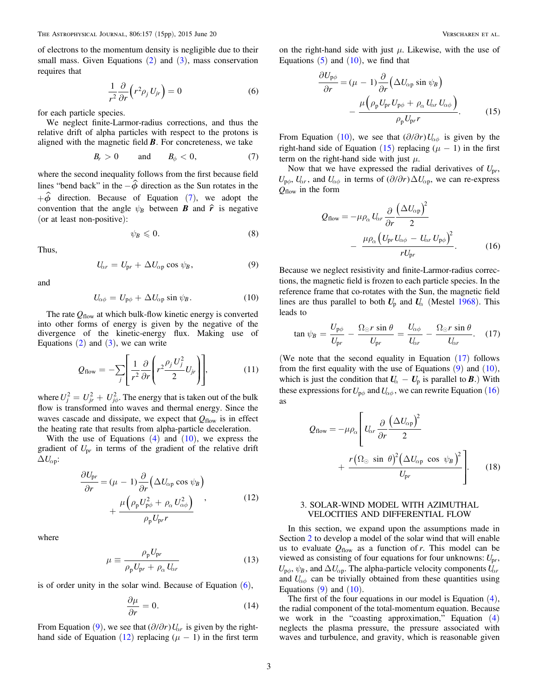<span id="page-2-0"></span>of electrons to the momentum density is negligible due to their small mass. Given Equations  $(2)$  $(2)$  $(2)$  and  $(3)$  $(3)$  $(3)$ , mass conservation requires that

$$
\frac{1}{r^2}\frac{\partial}{\partial r}\left(r^2\rho_j U_{jr}\right) = 0\tag{6}
$$

for each particle species.

We neglect finite-Larmor-radius corrections, and thus the relative drift of alpha particles with respect to the protons is aligned with the magnetic field *B*. For concreteness, we take

$$
B_r > 0 \quad \text{and} \quad B_\phi < 0, \tag{7}
$$

where the second inequality follows from the first because field lines "bend back" in the  $-\hat{\phi}$  direction as the Sun rotates in the  $+\hat{\phi}$  direction. Because of Equation (7), we adopt the convention that the angle  $\psi_B$  between *B* and  $\hat{r}$  is negative (or at least non-positive):

$$
\psi_B \leqslant 0. \tag{8}
$$

Thus,

$$
U_{\alpha r} = U_{\text{pr}} + \Delta U_{\alpha \text{p}} \cos \psi_B, \qquad (9)
$$

and

$$
U_{\alpha\phi} = U_{\mathbf{p}\phi} + \Delta U_{\alpha\mathbf{p}} \sin \psi_B.
$$
 (10)

The rate  $Q_{flow}$  at which bulk-flow kinetic energy is converted into other forms of energy is given by the negative of the divergence of the kinetic-energy flux. Making use of Equations  $(2)$  $(2)$  $(2)$  and  $(3)$  $(3)$  $(3)$ , we can write

$$
Q_{\text{flow}} = -\sum_{j} \left[ \frac{1}{r^2} \frac{\partial}{\partial r} \left( r^2 \frac{\rho_j U_j^2}{2} U_{jr} \right) \right],\tag{11}
$$

where  $U_j^2 = U_{jr}^2 + U_{j\phi}^2$ . The energy that is taken out of the bulk flow is transformed into waves and thermal energy. Since the waves cascade and dissipate, we expect that  $Q_{flow}$  is in effect the heating rate that results from alpha-particle deceleration.

With the use of Equations  $(4)$  $(4)$  $(4)$  and  $(10)$ , we express the gradient of *U*p*<sup>r</sup>* in terms of the gradient of the relative drift  $\Delta U_{\alpha p}$ :

$$
\frac{\partial U_{\text{pr}}}{\partial r} = (\mu - 1) \frac{\partial}{\partial r} \left( \Delta U_{\alpha \text{p}} \cos \psi_B \right) + \frac{\mu \left( \rho_{\text{p}} U_{\text{p}\phi}^2 + \rho_{\alpha} U_{\alpha\phi}^2 \right)}{\rho_{\text{p}} U_{\text{pr}} r}, \qquad (12)
$$

where

$$
\mu \equiv \frac{\rho_{\rm p} U_{\rm pr}}{\rho_{\rm p} U_{\rm pr} + \rho_{\alpha} U_{\alpha r}} \tag{13}
$$

is of order unity in the solar wind. Because of Equation  $(6)$ ,

$$
\frac{\partial \mu}{\partial r} = 0. \tag{14}
$$

From Equation (9), we see that  $(\partial/\partial r)U_{\alpha r}$  is given by the righthand side of Equation (12) replacing  $(\mu - 1)$  in the first term

on the right-hand side with just  $\mu$ . Likewise, with the use of Equations  $(5)$  $(5)$  $(5)$  and  $(10)$ , we find that

$$
\frac{\partial U_{\mathbf{p}\phi}}{\partial r} = (\mu - 1) \frac{\partial}{\partial r} \left( \Delta U_{\alpha \mathbf{p}} \sin \psi_B \right) \n- \frac{\mu \left( \rho_{\mathbf{p}} U_{\mathbf{p}r} U_{\mathbf{p}\phi} + \rho_{\alpha} U_{\alpha r} U_{\alpha \phi} \right)}{\rho_{\mathbf{p}} U_{\mathbf{p}r}}.
$$
\n(15)

From Equation (10), we see that  $(\partial/\partial r)U_{\alpha\phi}$  is given by the right-hand side of Equation  $(15)$  replacing  $(\mu - 1)$  in the first term on the right-hand side with just  $\mu$ .

Now that we have expressed the radial derivatives of  $U_{pr}$ ,  $U_{\rho\phi}$ ,  $U_{\alpha r}$ , and  $U_{\alpha\phi}$  in terms of  $(\partial/\partial r)\Delta U_{\alpha p}$ , we can re-express  $Q_{flow}$  in the form

$$
Q_{\text{flow}} = -\mu \rho_{\alpha} U_{\alpha r} \frac{\partial}{\partial r} \frac{(\Delta U_{\alpha p})^2}{2}
$$

$$
- \frac{\mu \rho_{\alpha} (U_{\text{p}r} U_{\alpha \phi} - U_{\alpha r} U_{\text{p} \phi})^2}{r U_{\text{p}r}}.
$$
(16)

Because we neglect resistivity and finite-Larmor-radius corrections, the magnetic field is frozen to each particle species. In the reference frame that co-rotates with the Sun, the magnetic field lines are thus parallel to both  $U_p$  and  $U_\alpha$  (Mestel [1968](#page-14-0)). This leads to

$$
\tan\psi_B = \frac{U_{\rm p\phi}}{U_{\rm pr}} - \frac{\Omega_{\odot}r\,\sin\theta}{U_{\rm pr}} = \frac{U_{\alpha\phi}}{U_{\alpha r}} - \frac{\Omega_{\odot}r\,\sin\theta}{U_{\alpha r}}.\tag{17}
$$

(We note that the second equality in Equation (17) follows from the first equality with the use of Equations  $(9)$  and  $(10)$ , which is just the condition that  $U_{\alpha} - U_{\beta}$  is parallel to *B*.) With these expressions for  $U_{\rho\phi}$  and  $U_{\alpha\phi}$ , we can rewrite Equation (16) as

$$
Q_{\text{flow}} = -\mu \rho_{\alpha} \left[ U_{\alpha r} \frac{\partial}{\partial r} \frac{(\Delta U_{\alpha p})^2}{2} + \frac{r (\Omega_{\odot} \sin \theta)^2 (\Delta U_{\alpha p} \cos \psi_B)^2}{U_{\text{pr}}} \right].
$$
 (18)

## 3. SOLAR-WIND MODEL WITH AZIMUTHAL VELOCITIES AND DIFFERENTIAL FLOW

In this section, we expand upon the assumptions made in Section [2](#page-1-0) to develop a model of the solar wind that will enable us to evaluate  $Q_{flow}$  as a function of r. This model can be viewed as consisting of four equations for four unknowns:  $U_{pr}$ ,  $U_{\rm p\phi}$ ,  $\psi_B$ , and  $\Delta U_{\alpha p}$ . The alpha-particle velocity components  $U_{\alpha r}$ and  $U_{\alpha\phi}$  can be trivially obtained from these quantities using Equations  $(9)$  and  $(10)$ .

The first of the four equations in our model is Equation  $(4)$  $(4)$  $(4)$ , the radial component of the total-momentum equation. Because we work in the "coasting approximation," Equation ([4](#page-1-0)) neglects the plasma pressure, the pressure associated with waves and turbulence, and gravity, which is reasonable given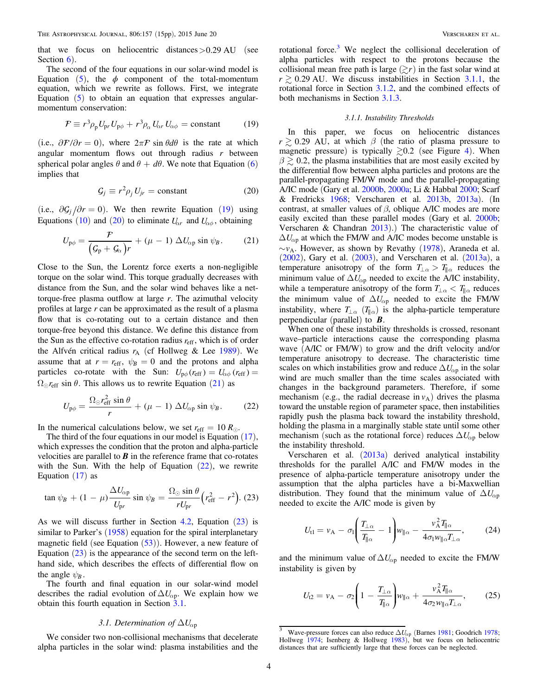<span id="page-3-0"></span>that we focus on heliocentric distances  $>0.29$  AU (see Section  $6$ ).

The second of the four equations in our solar-wind model is Equation ([5](#page-1-0)), the  $\phi$  component of the total-momentum equation, which we rewrite as follows. First, we integrate Equation  $(5)$  $(5)$  $(5)$  to obtain an equation that expresses angularmomentum conservation:

$$
\mathcal{F} \equiv r^3 \rho_p U_{\text{pr}} U_{\text{p}\phi} + r^3 \rho_\alpha U_{\alpha r} U_{\alpha \phi} = \text{constant} \tag{19}
$$

(i.e.,  $\partial \mathcal{F}/\partial r = 0$ ), where  $2\pi \mathcal{F} \sin \theta d\theta$  is the rate at which angular momentum flows out through radius  $r$  between spherical polar angles  $\theta$  and  $\theta + d\theta$ . We note that Equation ([6](#page-2-0)) implies that

$$
\mathcal{G}_j \equiv r^2 \rho_j U_{jr} = \text{constant} \tag{20}
$$

(i.e.,  $\partial \mathcal{G}_i / \partial r = 0$ ). We then rewrite Equation (19) using Equations ([10](#page-2-0)) and (20) to eliminate  $U_{\alpha r}$  and  $U_{\alpha\phi}$ , obtaining

$$
U_{\mathbf{p}\phi} = \frac{\mathcal{F}}{\left(\mathcal{G}_{\mathbf{p}} + \mathcal{G}_{\alpha}\right)r} + \left(\mu - 1\right)\Delta U_{\alpha\mathbf{p}}\sin\psi_{\mathbf{B}}.\tag{21}
$$

Close to the Sun, the Lorentz force exerts a non-negligible torque on the solar wind. This torque gradually decreases with distance from the Sun, and the solar wind behaves like a nettorque-free plasma outflow at large  $r$ . The azimuthal velocity profiles at large  $r$  can be approximated as the result of a plasma flow that is co-rotating out to a certain distance and then torque-free beyond this distance. We define this distance from the Sun as the effective co-rotation radius *r*eff, which is of order the Alfvén critical radius  $r_A$  (cf Hollweg & Lee [1989](#page-13-0)). We assume that at  $r = r_{\text{eff}}$ ,  $\psi_B = 0$  and the protons and alpha particles co-rotate with the Sun:  $U_{\text{p}\phi}(r_{\text{eff}}) = U_{\alpha\phi}(r_{\text{eff}}) =$  $\Omega_{\odot} r_{\text{eff}}$  sin  $\theta$ . This allows us to rewrite Equation (21) as

$$
U_{\mathbf{p}\phi} = \frac{\Omega_{\odot}r_{\rm eff}^2\sin\theta}{r} + (\mu - 1)\,\Delta U_{\alpha\mathbf{p}}\sin\psi_B. \tag{22}
$$

In the numerical calculations below, we set  $r_{\text{eff}} = 10 R_{\odot}$ .

The third of the four equations in our model is Equation  $(17)$  $(17)$  $(17)$ , which expresses the condition that the proton and alpha-particle velocities are parallel to  $\bm{B}$  in the reference frame that co-rotates with the Sun. With the help of Equation  $(22)$ , we rewrite Equation  $(17)$  $(17)$  $(17)$  as

$$
\tan \psi_B + (1 - \mu) \frac{\Delta U_{\alpha p}}{U_{\text{pr}}} \sin \psi_B = \frac{\Omega_{\odot} \sin \theta}{r U_{\text{pr}}} \left( r_{\text{eff}}^2 - r^2 \right). (23)
$$

As we will discuss further in Section  $4.2$ , Equation  $(23)$  is similar to Parker's ([1958](#page-14-0)) equation for the spiral interplanetary magnetic field (see Equation  $(53)$  $(53)$  $(53)$ ). However, a new feature of Equation  $(23)$  is the appearance of the second term on the lefthand side, which describes the effects of differential flow on the angle  $\psi_B$ .

The fourth and final equation in our solar-wind model describes the radial evolution of  $\Delta U_{\alpha p}$ . We explain how we obtain this fourth equation in Section 3.1.

## 3.1. Determination of  $\Delta U_{\alpha p}$

We consider two non-collisional mechanisms that decelerate alpha particles in the solar wind: plasma instabilities and the

rotational force. $3$  We neglect the collisional deceleration of alpha particles with respect to the protons because the collisional mean free path is large  $(\gtrsim r)$  in the fast solar wind at  $r \gtrsim 0.29$  AU. We discuss instabilities in Section 3.1.1, the rotational force in Section 3.1.2, and the combined effects of both mechanisms in Section 3.1.3.

### 3.1.1. Instability Thresholds

In this paper, we focus on heliocentric distances  $r \geq 0.29$  AU, at which  $\beta$  (the ratio of plasma pressure to magnetic pressure) is typically  $\geq 0.2$  (see Figure [4](#page-8-0)). When  $\beta \geq 0.2$ , the plasma instabilities that are most easily excited by the differential flow between alpha particles and protons are the parallel-propagating FM/W mode and the parallel-propagating A/IC mode (Gary et al. [2000b,](#page-13-0) [2000a;](#page-13-0) Li & Habbal [2000](#page-13-0); Scarf & Fredricks [1968;](#page-14-0) Verscharen et al. [2013b,](#page-14-0) [2013a](#page-14-0)). (In contrast, at smaller values of  $\beta$ , oblique A/IC modes are more easily excited than these parallel modes (Gary et al. [2000b](#page-13-0); Verscharen & Chandran [2013](#page-14-0)).) The characteristic value of  $\Delta U_{\alpha p}$  at which the FM/W and A/IC modes become unstable is  $\sim v_A$ . However, as shown by Revathy ([1978](#page-14-0)), Araneda et al. ([2002](#page-13-0)), Gary et al. ([2003](#page-13-0)), and Verscharen et al. ([2013a](#page-14-0)), a temperature anisotropy of the form  $T_{\perp \alpha} > T_{\parallel \alpha}$  reduces the minimum value of  $\Delta U_{\alpha p}$  needed to excite the A/IC instability, while a temperature anisotropy of the form  $T_{\perp \alpha} < T_{\parallel \alpha}$  reduces the minimum value of  $\Delta U_{\alpha p}$  needed to excite the FM/W instability, where  $T_{\perp\alpha}$  ( $T_{\parallel\alpha}$ ) is the alpha-particle temperature perpendicular (parallel) to *B*.

When one of these instability thresholds is crossed, resonant wave–particle interactions cause the corresponding plasma wave (A/IC or FM/W) to grow and the drift velocity and/or temperature anisotropy to decrease. The characteristic time scales on which instabilities grow and reduce  $\Delta U_{\alpha p}$  in the solar wind are much smaller than the time scales associated with changes in the background parameters. Therefore, if some mechanism (e.g., the radial decrease in  $v_A$ ) drives the plasma toward the unstable region of parameter space, then instabilities rapidly push the plasma back toward the instability threshold, holding the plasma in a marginally stable state until some other mechanism (such as the rotational force) reduces  $\Delta U_{\alpha p}$  below the instability threshold.

Verscharen et al. ([2013a](#page-14-0)) derived analytical instability thresholds for the parallel A/IC and FM/W modes in the presence of alpha-particle temperature anisotropy under the assumption that the alpha particles have a bi-Maxwellian distribution. They found that the minimum value of  $\Delta U_{\alpha p}$ needed to excite the A/IC mode is given by

$$
U_{\rm tl} = v_{\rm A} - \sigma_{\rm l} \left( \frac{T_{\perp \alpha}}{T_{\parallel \alpha}} - 1 \right) w_{\parallel \alpha} - \frac{v_{\rm A}^2 T_{\parallel \alpha}}{4 \sigma_{\rm l} w_{\parallel \alpha} T_{\perp \alpha}},\tag{24}
$$

and the minimum value of  $\Delta U_{\alpha p}$  needed to excite the FM/W instability is given by

$$
U_{12} = v_{\rm A} - \sigma_2 \left( 1 - \frac{T_{\perp \alpha}}{T_{\parallel \alpha}} \right) w_{\parallel \alpha} + \frac{v_{\rm A}^2 T_{\parallel \alpha}}{4 \sigma_2 w_{\parallel \alpha} T_{\perp \alpha}}, \qquad (25)
$$

<sup>&</sup>lt;sup>3</sup> Wave-pressure forces can also reduce  $\Delta U_{\text{op}}$  (Barnes [1981](#page-13-0); Goodrich [1978;](#page-13-0) Hollweg [1974](#page-13-0); Isenberg & Hollweg [1983](#page-13-0)), but we focus on heliocentric distances that are sufficiently large that these forces can be neglected.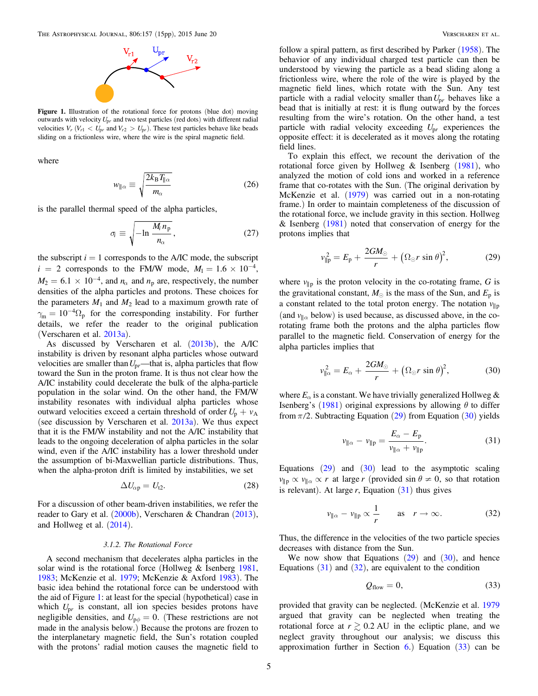<span id="page-4-0"></span>

Figure 1. Illustration of the rotational force for protons (blue dot) moving outwards with velocity *U*p*<sup>r</sup>* and two test particles (red dots) with different radial velocities  $V_r$  ( $V_{r1}$  <  $U_{pr}$  and  $V_{r2} > U_{pr}$ ). These test particles behave like beads sliding on a frictionless wire, where the wire is the spiral magnetic field.

where

$$
w_{\parallel\alpha} \equiv \sqrt{\frac{2k_{\rm B}T_{\parallel\alpha}}{m_{\alpha}}}
$$
 (26)

is the parallel thermal speed of the alpha particles,

$$
\sigma_i \equiv \sqrt{-\ln \frac{M_i n_p}{n_\alpha}},\tag{27}
$$

the subscript  $i = 1$  corresponds to the A/IC mode, the subscript  $i = 2$  corresponds to the FM/W mode,  $M_1 = 1.6 \times 10^{-4}$ ,  $M_2 = 6.1 \times 10^{-4}$ , and  $n_\alpha$  and  $n_\beta$  are, respectively, the number densities of the alpha particles and protons. These choices for the parameters  $M_1$  and  $M_2$  lead to a maximum growth rate of  $\gamma_{\rm m} = 10^{-4} \Omega_{\rm p}$  for the corresponding instability. For further details, we refer the reader to the original publication (Verscharen et al. [2013a](#page-14-0)).

As discussed by Verscharen et al. ([2013b](#page-14-0)), the A/IC instability is driven by resonant alpha particles whose outward velocities are smaller than  $U_{pr}$ —that is, alpha particles that flow toward the Sun in the proton frame. It is thus not clear how the A/IC instability could decelerate the bulk of the alpha-particle population in the solar wind. On the other hand, the FM/W instability resonates with individual alpha particles whose outward velocities exceed a certain threshold of order  $U_p + v_A$ (see discussion by Verscharen et al. [2013a](#page-14-0)). We thus expect that it is the FM/W instability and not the A/IC instability that leads to the ongoing deceleration of alpha particles in the solar wind, even if the A/IC instability has a lower threshold under the assumption of bi-Maxwellian particle distributions. Thus, when the alpha-proton drift is limited by instabilities, we set

$$
\Delta U_{\alpha p} = U_{12}.\tag{28}
$$

For a discussion of other beam-driven instabilities, we refer the reader to Gary et al. ([2000b](#page-13-0)), Verscharen & Chandran ([2013](#page-14-0)), and Hollweg et al. ([2014](#page-13-0)).

#### 3.1.2. The Rotational Force

A second mechanism that decelerates alpha particles in the solar wind is the rotational force (Hollweg & Isenberg [1981,](#page-13-0) [1983;](#page-13-0) McKenzie et al. [1979](#page-14-0); McKenzie & Axford [1983](#page-14-0)). The basic idea behind the rotational force can be understood with the aid of Figure 1: at least for the special (hypothetical) case in which  $U_{pr}$  is constant, all ion species besides protons have negligible densities, and  $U_{\text{p}\phi} = 0$ . (These restrictions are not made in the analysis below.) Because the protons are frozen to the interplanetary magnetic field, the Sun's rotation coupled with the protons' radial motion causes the magnetic field to

follow a spiral pattern, as first described by Parker ([1958](#page-14-0)). The behavior of any individual charged test particle can then be understood by viewing the particle as a bead sliding along a frictionless wire, where the role of the wire is played by the magnetic field lines, which rotate with the Sun. Any test particle with a radial velocity smaller than  $U_{pr}$  behaves like a bead that is initially at rest: it is flung outward by the forces resulting from the wire's rotation. On the other hand, a test particle with radial velocity exceeding  $U_{pr}$  experiences the opposite effect: it is decelerated as it moves along the rotating field lines.

To explain this effect, we recount the derivation of the rotational force given by Hollweg  $\&$  Isenberg ([1981](#page-13-0)), who analyzed the motion of cold ions and worked in a reference frame that co-rotates with the Sun. (The original derivation by McKenzie et al. ([1979](#page-14-0)) was carried out in a non-rotating frame.) In order to maintain completeness of the discussion of the rotational force, we include gravity in this section. Hollweg & Isenberg  $(1981)$  $(1981)$  $(1981)$  noted that conservation of energy for the protons implies that

$$
v_{\parallel p}^2 = E_p + \frac{2GM_\odot}{r} + \left(\Omega_\odot r \sin \theta\right)^2, \tag{29}
$$

where  $v_{\parallel p}$  is the proton velocity in the co-rotating frame, G is the gravitational constant,  $M_{\odot}$  is the mass of the Sun, and  $E_p$  is a constant related to the total proton energy. The notation  $v_{\parallel p}$ (and  $v_{\parallel}$  below) is used because, as discussed above, in the corotating frame both the protons and the alpha particles flow parallel to the magnetic field. Conservation of energy for the alpha particles implies that

$$
v_{\parallel\alpha}^2 = E_{\alpha} + \frac{2GM_{\odot}}{r} + \left(\Omega_{\odot}r\sin\theta\right)^2, \tag{30}
$$

where  $E_\alpha$  is a constant. We have trivially generalized Hollweg  $\&$ Isenberg's ([1981](#page-13-0)) original expressions by allowing  $\theta$  to differ from  $\pi/2$ . Subtracting Equation (29) from Equation (30) yields

$$
v_{\parallel\alpha} - v_{\parallel p} = \frac{E_{\alpha} - E_{p}}{v_{\parallel\alpha} + v_{\parallel p}}.
$$
 (31)

Equations  $(29)$  and  $(30)$  lead to the asymptotic scaling  $v_{\parallel p} \propto v_{\parallel \alpha} \propto r$  at large r (provided sin  $\theta \neq 0$ , so that rotation is relevant). At large  $r$ , Equation  $(31)$  thus gives

$$
v_{\parallel\alpha} - v_{\parallel p} \propto \frac{1}{r} \quad \text{as} \quad r \to \infty. \tag{32}
$$

Thus, the difference in the velocities of the two particle species decreases with distance from the Sun.

We now show that Equations  $(29)$  and  $(30)$ , and hence Equations  $(31)$  and  $(32)$ , are equivalent to the condition

$$
Q_{\text{flow}} = 0,\tag{33}
$$

provided that gravity can be neglected. (McKenzie et al. [1979](#page-14-0) argued that gravity can be neglected when treating the rotational force at  $r \gtrsim 0.2$  AU in the ecliptic plane, and we neglect gravity throughout our analysis; we discuss this approximation further in Section  $6$ .) Equation  $(33)$  can be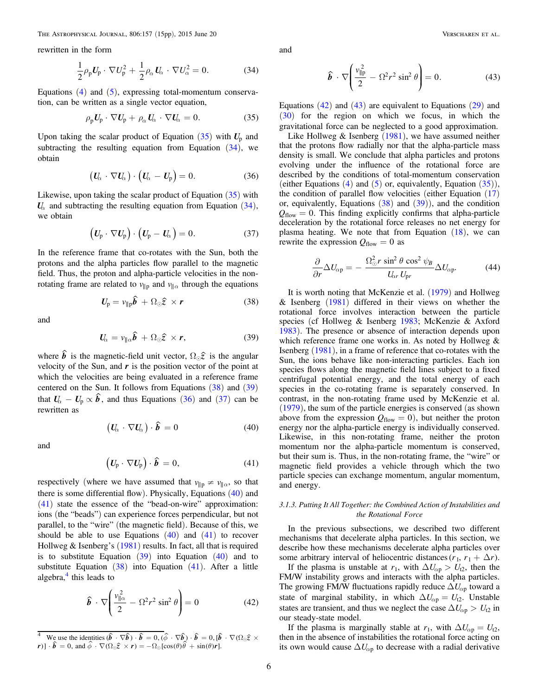<span id="page-5-0"></span>rewritten in the form

$$
\frac{1}{2}\rho_{\rm p}U_{\rm p}\cdot\nabla U_{\rm p}^2+\frac{1}{2}\rho_{\alpha}U_{\alpha}\cdot\nabla U_{\alpha}^2=0.
$$
 (34)

Equations  $(4)$  $(4)$  $(4)$  and  $(5)$  $(5)$  $(5)$ , expressing total-momentum conservation, can be written as a single vector equation,

$$
\rho_{\rm p} U_{\rm p} \cdot \nabla U_{\rm p} + \rho_{\alpha} U_{\alpha} \cdot \nabla U_{\alpha} = 0. \tag{35}
$$

Upon taking the scalar product of Equation  $(35)$  with  $U_p$  and subtracting the resulting equation from Equation  $(34)$ , we obtain

$$
\left(\boldsymbol{U}_{\!\alpha}\,\cdot\,\nabla\boldsymbol{U}_{\!\alpha}\right)\cdot\left(\boldsymbol{U}_{\!\alpha}-\boldsymbol{U}_{\!p}\right)=0.\tag{36}
$$

Likewise, upon taking the scalar product of Equation  $(35)$  with  $U_{\alpha}$  and subtracting the resulting equation from Equation (34), we obtain

$$
\left(U_{\mathrm{p}}\cdot\nabla U_{\mathrm{p}}\right)\cdot\left(U_{\mathrm{p}}-U_{\alpha}\right)=0.\tag{37}
$$

In the reference frame that co-rotates with the Sun, both the protons and the alpha particles flow parallel to the magnetic field. Thus, the proton and alpha-particle velocities in the nonrotating frame are related to  $v_{\parallel p}$  and  $v_{\parallel \alpha}$  through the equations

$$
U_{\rm p} = v_{\parallel \rm p} \hat{b} + \Omega_{\odot} \hat{z} \times r \tag{38}
$$

and

$$
U_{\alpha} = v_{\parallel \alpha} \hat{b} + \Omega_{\odot} \hat{z} \times r, \qquad (39)
$$

where  $\hat{b}$  is the magnetic-field unit vector,  $\Omega_{\odot} \hat{z}$  is the angular velocity of the Sun, and  $\boldsymbol{r}$  is the position vector of the point at which the velocities are being evaluated in a reference frame centered on the Sun. It follows from Equations  $(38)$  and  $(39)$ that  $U_{\alpha} - U_{\alpha} \propto \hat{b}$ , and thus Equations (36) and (37) can be rewritten as

$$
\left( \boldsymbol{U}_{\!\alpha} \cdot \nabla \boldsymbol{U}_{\!\alpha} \right) \cdot \boldsymbol{\hat{b}} = 0 \tag{40}
$$

and

$$
\left(\boldsymbol{U}_{\rm p}\cdot\nabla\boldsymbol{U}_{\rm p}\right)\cdot\boldsymbol{\hat{b}}=0,\tag{41}
$$

respectively (where we have assumed that  $v_{\parallel p} \neq v_{\parallel \alpha}$ , so that there is some differential flow). Physically, Equations (40) and (41) state the essence of the "bead-on-wire" approximation: ions (the "beads") can experience forces perpendicular, but not parallel, to the "wire" (the magnetic field). Because of this, we should be able to use Equations  $(40)$  and  $(41)$  to recover Hollweg & Isenberg's  $(1981)$  $(1981)$  $(1981)$  results. In fact, all that is required is to substitute Equation  $(39)$  into Equation  $(40)$  and to substitute Equation  $(38)$  into Equation  $(41)$ . After a little algebra, $4$  this leads to

$$
\hat{\boldsymbol{b}} \cdot \nabla \left( \frac{v_{\parallel \alpha}^2}{2} - \Omega^2 r^2 \sin^2 \theta \right) = 0 \tag{42}
$$

and

$$
\hat{\boldsymbol{b}} \cdot \nabla \Bigg( \frac{v_{\parallel p}^2}{2} - \Omega^2 r^2 \sin^2 \theta \Bigg) = 0. \tag{43}
$$

Equations  $(42)$  and  $(43)$  are equivalent to Equations  $(29)$  $(29)$  $(29)$  and ([30](#page-4-0)) for the region on which we focus, in which the gravitational force can be neglected to a good approximation.

Like Hollweg  $&$  Isenberg ([1981](#page-13-0)), we have assumed neither that the protons flow radially nor that the alpha-particle mass density is small. We conclude that alpha particles and protons evolving under the influence of the rotational force are described by the conditions of total-momentum conservation (either Equations  $(4)$  $(4)$  $(4)$  and  $(5)$  $(5)$  $(5)$  or, equivalently, Equation  $(35)$ ), the condition of parallel flow velocities (either Equation  $(17)$  $(17)$  $(17)$ ) or, equivalently, Equations  $(38)$  and  $(39)$ ), and the condition  $Q_{flow} = 0$ . This finding explicitly confirms that alpha-particle deceleration by the rotational force releases no net energy for plasma heating. We note that from Equation  $(18)$  $(18)$  $(18)$ , we can rewrite the expression  $Q_{flow} = 0$  as

$$
\frac{\partial}{\partial r}\Delta U_{\alpha p} = -\frac{\Omega_{\odot}^2 r \sin^2 \theta \cos^2 \psi_B}{U_{\alpha r} U_{\rm pr}} \Delta U_{\alpha p}.
$$
 (44)

It is worth noting that McKenzie et al. ([1979](#page-14-0)) and Hollweg & Isenberg  $(1981)$  $(1981)$  $(1981)$  differed in their views on whether the rotational force involves interaction between the particle species (cf Hollweg & Isenberg [1983;](#page-13-0) McKenzie & Axford [1983](#page-14-0)). The presence or absence of interaction depends upon which reference frame one works in. As noted by Hollweg  $\&$ Isenberg ([1981](#page-13-0)), in a frame of reference that co-rotates with the Sun, the ions behave like non-interacting particles. Each ion species flows along the magnetic field lines subject to a fixed centrifugal potential energy, and the total energy of each species in the co-rotating frame is separately conserved. In contrast, in the non-rotating frame used by McKenzie et al. ([1979](#page-14-0)), the sum of the particle energies is conserved (as shown above from the expression  $Q_{flow} = 0$ , but neither the proton energy nor the alpha-particle energy is individually conserved. Likewise, in this non-rotating frame, neither the proton momentum nor the alpha-particle momentum is conserved, but their sum is. Thus, in the non-rotating frame, the "wire" or magnetic field provides a vehicle through which the two particle species can exchange momentum, angular momentum, and energy.

#### 3.1.3. Putting It All Together: the Combined Action of Instabilities and the Rotational Force

In the previous subsections, we described two different mechanisms that decelerate alpha particles. In this section, we describe how these mechanisms decelerate alpha particles over some arbitrary interval of heliocentric distances  $(r_1, r_1 + \Delta r)$ .

If the plasma is unstable at  $r_1$ , with  $\Delta U_{\alpha p} > U_{12}$ , then the FM/W instability grows and interacts with the alpha particles. The growing FM/W fluctuations rapidly reduce  $\Delta U_{\alpha p}$  toward a state of marginal stability, in which  $\Delta U_{\alpha p} = U_{12}$ . Unstable states are transient, and thus we neglect the case  $\Delta U_{\alpha p} > U_{12}$  in our steady-state model.

If the plasma is marginally stable at  $r_1$ , with  $\Delta U_{\alpha p} = U_{12}$ , then in the absence of instabilities the rotational force acting on its own would cause  $\Delta U_{\alpha p}$  to decrease with a radial derivative

We use the identities  $(\hat{b} \cdot \nabla \hat{b}) \cdot \hat{b} = 0$ ,  $(\hat{\phi} \cdot \nabla \hat{b}) \cdot \hat{b} = 0$ ,  $[\hat{b} \cdot \nabla (\Omega_{\odot} \hat{z}) \times$  $\hat{b} = 0$ , and  $\hat{\phi} \cdot \nabla(\Omega_{\odot} \hat{z} \times r) = -\Omega_{\odot} [\cos(\theta) \hat{\theta} + \sin(\theta)r].$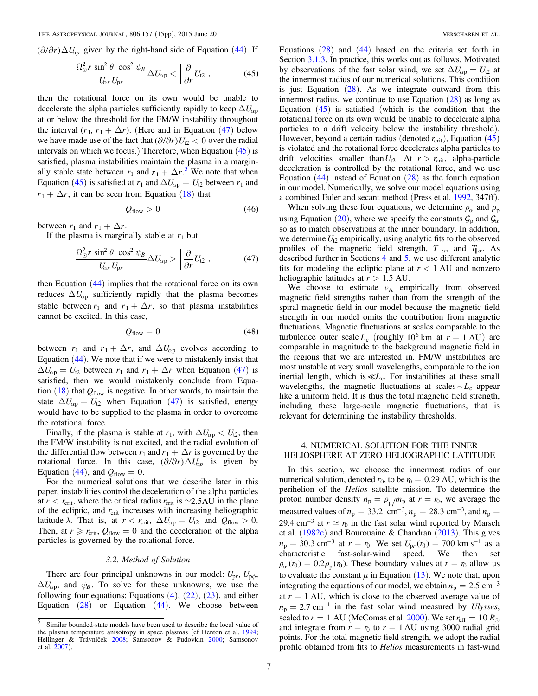<span id="page-6-0"></span> $(\partial/\partial r)\Delta U_{\alpha p}$  given by the right-hand side of Equation ([44](#page-5-0)). If

$$
\frac{\Omega_{\odot}^2 r \sin^2 \theta \cos^2 \psi_B}{U_{\alpha r} U_{\rm pr}} \Delta U_{\alpha p} < \left| \frac{\partial}{\partial r} U_{12} \right|,\tag{45}
$$

then the rotational force on its own would be unable to decelerate the alpha particles sufficiently rapidly to keep  $\Delta U_{\alpha p}$ at or below the threshold for the FM/W instability throughout the interval  $(r_1, r_1 + \Delta r)$ . (Here and in Equation (47) below we have made use of the fact that  $(\partial/\partial r)U_{12} < 0$  over the radial intervals on which we focus.) Therefore, when Equation (45) is satisfied, plasma instabilities maintain the plasma in a marginally stable state between  $r_1$  and  $r_1 + \Delta r$ .<sup>5</sup> We note that when Equation (45) is satisfied at  $r_1$  and  $\Delta U_{\alpha p} = U_{12}$  between  $r_1$  and  $r_1 + \Delta r$ , it can be seen from Equation ([18](#page-2-0)) that

$$
Q_{\text{flow}} > 0 \tag{46}
$$

between  $r_1$  and  $r_1 + \Delta r$ .

If the plasma is marginally stable at  $r_1$  but

$$
\frac{\Omega_{\odot}^2 r \sin^2 \theta \cos^2 \psi_B}{U_{\alpha r} U_{\rm pr}} \Delta U_{\alpha p} > \left| \frac{\partial}{\partial r} U_{t2} \right|,\tag{47}
$$

then Equation  $(44)$  $(44)$  $(44)$  implies that the rotational force on its own reduces  $\Delta U_{\alpha p}$  sufficiently rapidly that the plasma becomes stable between  $r_1$  and  $r_1 + \Delta r$ , so that plasma instabilities cannot be excited. In this case,

$$
Q_{\text{flow}} = 0 \tag{48}
$$

between  $r_1$  and  $r_1 + \Delta r$ , and  $\Delta U_{\alpha p}$  evolves according to Equation ([44](#page-5-0)). We note that if we were to mistakenly insist that  $\Delta U_{\alpha p} = U_{12}$  between  $r_1$  and  $r_1 + \Delta r$  when Equation (47) is satisfied, then we would mistakenly conclude from Equation  $(18)$  $(18)$  $(18)$  that  $Q_{flow}$  is negative. In other words, to maintain the state  $\Delta U_{\alpha p} = U_{12}$  when Equation (47) is satisfied, energy would have to be supplied to the plasma in order to overcome the rotational force.

Finally, if the plasma is stable at  $r_1$ , with  $\Delta U_{\alpha p} < U_{12}$ , then the FM/W instability is not excited, and the radial evolution of the differential flow between  $r_1$  and  $r_1 + \Delta r$  is governed by the rotational force. In this case,  $(\partial/\partial r)\Delta U_{\alpha p}$  is given by Equation ([44](#page-5-0)), and  $Q_{flow} = 0$ .

For the numerical solutions that we describe later in this paper, instabilities control the deceleration of the alpha particles at  $r < r_{\text{crit}}$ , where the critical radius  $r_{\text{crit}}$  is  $\simeq$  2.5AU in the plane of the ecliptic, and  $r_{\text{crit}}$  increases with increasing heliographic latitude  $\lambda$ . That is, at  $r < r_{\text{crit}}$ ,  $\Delta U_{\text{op}} = U_{12}$  and  $Q_{\text{flow}} > 0$ . Then, at  $r \ge r_{\text{crit}}$ ,  $Q_{\text{flow}} = 0$  and the deceleration of the alpha particles is governed by the rotational force.

### 3.2. Method of Solution

There are four principal unknowns in our model:  $U_{pr}$ ,  $U_{p\phi}$ ,  $\Delta U_{\alpha p}$ , and  $\psi_B$ . To solve for these unknowns, we use the following four equations: Equations  $(4)$  $(4)$  $(4)$ ,  $(22)$  $(22)$  $(22)$ ,  $(23)$  $(23)$  $(23)$ , and either Equation  $(28)$  $(28)$  $(28)$  or Equation  $(44)$  $(44)$  $(44)$ . We choose between Equations  $(28)$  $(28)$  $(28)$  and  $(44)$  $(44)$  $(44)$  based on the criteria set forth in Section 3.1.3. In practice, this works out as follows. Motivated by observations of the fast solar wind, we set  $\Delta U_{\alpha p} = U_{12}$  at the innermost radius of our numerical solutions. This condition is just Equation  $(28)$  $(28)$  $(28)$ . As we integrate outward from this innermost radius, we continue to use Equation  $(28)$  $(28)$  $(28)$  as long as Equation  $(45)$  is satisfied (which is the condition that the rotational force on its own would be unable to decelerate alpha particles to a drift velocity below the instability threshold). However, beyond a certain radius (denoted  $r_{\text{crit}}$ ), Equation (45) is violated and the rotational force decelerates alpha particles to drift velocities smaller than  $U_{12}$ . At  $r > r_{\text{crit}}$ , alpha-particle deceleration is controlled by the rotational force, and we use Equation  $(44)$  $(44)$  $(44)$  instead of Equation  $(28)$  $(28)$  $(28)$  as the fourth equation in our model. Numerically, we solve our model equations using a combined Euler and secant method (Press et al. [1992](#page-14-0), 347ff).

When solving these four equations, we determine  $\rho_{\alpha}$  and  $\rho_{\bf p}$ using Equation ([20](#page-3-0)), where we specify the constants  $G_p$  and  $G_\alpha$ so as to match observations at the inner boundary. In addition, we determine  $U_{12}$  empirically, using analytic fits to the observed profiles of the magnetic field strength,  $T_{\perp \alpha}$ , and  $T_{\parallel \alpha}$ . As described further in Sections 4 and [5](#page-9-0), we use different analytic fits for modeling the ecliptic plane at  $r < 1$  AU and nonzero heliographic latitudes at *r* > 1.5 AU.

We choose to estimate  $v_A$  empirically from observed magnetic field strengths rather than from the strength of the spiral magnetic field in our model because the magnetic field strength in our model omits the contribution from magnetic fluctuations. Magnetic fluctuations at scales comparable to the turbulence outer scale  $L_c$  (roughly 10<sup>6</sup> km at  $r = 1$  AU) are comparable in magnitude to the background magnetic field in the regions that we are interested in. FM/W instabilities are most unstable at very small wavelengths, comparable to the ion inertial length, which is ≪*L*<sub>c</sub>. For instabilities at these small wavelengths, the magnetic fluctuations at scales  $\sim L_c$  appear like a uniform field. It is thus the total magnetic field strength, including these large-scale magnetic fluctuations, that is relevant for determining the instability thresholds.

## 4. NUMERICAL SOLUTION FOR THE INNER HELIOSPHERE AT ZERO HELIOGRAPHIC LATITUDE

In this section, we choose the innermost radius of our numerical solution, denoted  $r_0$ , to be  $r_0 = 0.29$  AU, which is the perihelion of the Helios satellite mission. To determine the proton number density  $n_p = \rho_p / m_p$  at  $r = r_0$ , we average the measured values of  $n_p = 33.2 \text{ cm}^{-3}, n_p = 28.3 \text{ cm}^{-3}, \text{ and } n_p =$ 29.4 cm<sup>-3</sup> at  $r \simeq r_0$  in the fast solar wind reported by Marsch et al. ([1982c](#page-13-0)) and Bourouaine & Chandran ([2013](#page-13-0)). This gives  $n_p = 30.3$  cm<sup>-3</sup> at  $r = r_0$ . We set  $U_{pr}(r_0) = 700$  km s<sup>-1</sup> as a characteristic fast-solar-wind speed. We then set  $\rho_{\alpha}$  ( $r_0$ ) = 0.2 $\rho_{\rm p}$ ( $r_0$ ). These boundary values at  $r = r_0$  allow us to evaluate the constant  $\mu$  in Equation ([13](#page-2-0)). We note that, upon integrating the equations of our model, we obtain  $n_p = 2.5$  cm<sup>-3</sup> at  $r = 1$  AU, which is close to the observed average value of  $n_p = 2.7$  cm<sup>-1</sup> in the fast solar wind measured by Ulysses, scaled to  $r = 1$  AU (McComas et al. [2000](#page-14-0)). We set  $r_{\text{eff}} = 10 R_{\odot}$ and integrate from  $r = r_0$  to  $r = 1$  AU using 3000 radial grid points. For the total magnetic field strength, we adopt the radial profile obtained from fits to Helios measurements in fast-wind

 $\frac{5}{5}$  Similar bounded-state models have been used to describe the local value of the plasma temperature anisotropy in space plasmas (cf Denton et al. [1994;](#page-13-0) Hellinger & Trávníček [2008](#page-13-0); Samsonov & Pudovkin [2000](#page-14-0); Samsonov et al. [2007](#page-14-0)).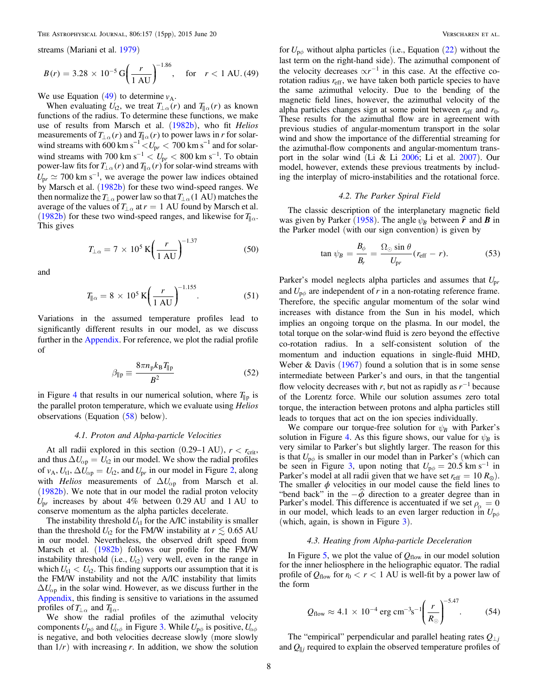<span id="page-7-0"></span>streams (Mariani et al. [1979](#page-13-0))

$$
B(r) = 3.28 \times 10^{-5} \,\mathrm{G} \left(\frac{r}{1 \,\mathrm{AU}}\right)^{-1.86}, \quad \text{for} \quad r < 1 \,\mathrm{AU} \, (49)
$$

We use Equation  $(49)$  to determine  $v_A$ .

When evaluating  $U_{12}$ , we treat  $T_{\perp \alpha}(r)$  and  $T_{\parallel \alpha}(r)$  as known functions of the radius. To determine these functions, we make use of results from Marsch et al. ([1982b](#page-13-0)), who fit Helios measurements of  $T_{\perp \alpha} (r)$  and  $T_{\parallel \alpha} (r)$  to power laws in r for solarwind streams with  $\frac{1}{600}$  km s<sup>-1</sup>  $\lt U_{pr}$   $\lt$  700 km s<sup>-1</sup> and for solarwind streams with 700 km  $s^{-1}$  <  $U_{pr}$  < 800 km  $s^{-1}$ . To obtain power-law fits for  $T_{\perp \alpha} (r)$  and  $T_{\parallel \alpha} (r)$  for solar-wind streams with  $U_{\text{pr}} \simeq 700 \text{ km s}^{-1}$ , we average the power law indices obtained by Marsch et al. ([1982b](#page-13-0)) for these two wind-speed ranges. We then normalize the  $T_{\perp \alpha}$  power law so that  $T_{\perp \alpha}$  (1 AU) matches the average of the values of  $T_{\perp \alpha}$  at  $r = 1$  AU found by Marsch et al. ([1982b](#page-13-0)) for these two wind-speed ranges, and likewise for  $T_{\parallel \alpha}$ . This gives

$$
T_{\perp \alpha} = 7 \times 10^5 \,\mathrm{K} \left(\frac{r}{1 \,\mathrm{AU}}\right)^{-1.37} \tag{50}
$$

and

$$
T_{\parallel \alpha} = 8 \times 10^5 \,\mathrm{K} \bigg( \frac{r}{1 \,\mathrm{AU}} \bigg)^{-1.155} . \tag{51}
$$

Variations in the assumed temperature profiles lead to significantly different results in our model, as we discuss further in the [Appendix](#page-12-0). For reference, we plot the radial profile of

$$
\beta_{\parallel p} \equiv \frac{8\pi n_p k_B T_{\parallel p}}{B^2} \tag{52}
$$

in Figure [4](#page-8-0) that results in our numerical solution, where  $T_{\parallel p}$  is the parallel proton temperature, which we evaluate using Helios observations (Equation  $(58)$  $(58)$  $(58)$  below).

#### 4.1. Proton and Alpha-particle Velocities

At all radii explored in this section  $(0.29-1 \text{ AU})$ ,  $r < r_{\text{crit}}$ , and thus  $\Delta U_{\alpha p} = U_{12}$  in our model. We show the radial profiles of  $v_A$ ,  $U_{t1}$ ,  $\Delta U_{\alpha p} = U_{t2}$ , and  $U_{pr}$  in our model in Figure [2,](#page-8-0) along with *Helios* measurements of  $\Delta U_{\alpha p}$  from Marsch et al. ([1982b](#page-13-0)). We note that in our model the radial proton velocity  $U_{pr}$  increases by about 4% between 0.29 AU and 1 AU to conserve momentum as the alpha particles decelerate.

The instability threshold  $U_{t1}$  for the A/IC instability is smaller than the threshold  $U_{12}$  for the FM/W instability at  $r \leq 0.65$  AU in our model. Nevertheless, the observed drift speed from Marsch et al. ([1982b](#page-13-0)) follows our profile for the FM/W instability threshold (i.e.,  $U_{(2)}$ ) very well, even in the range in which  $U_{t1} < U_{t2}$ . This finding supports our assumption that it is the FM/W instability and not the A/IC instability that limits  $\Delta U_{\alpha p}$  in the solar wind. However, as we discuss further in the [Appendix](#page-12-0), this finding is sensitive to variations in the assumed profiles of  $T_{\perp\alpha}$  and  $T_{\parallel\alpha}$ .

We show the radial profiles of the azimuthal velocity components  $U_{\mathsf{p}\phi}$  and  $U_{\alpha\phi}$  in Figure [3.](#page-8-0) While  $U_{\mathsf{p}\phi}$  is positive,  $U_{\alpha\phi}$ is negative, and both velocities decrease slowly (more slowly than  $1/r$ ) with increasing r. In addition, we show the solution for  $U_{\mathbf{p}\phi}$  without alpha particles (i.e., Equation ([22](#page-3-0)) without the last term on the right-hand side). The azimuthal component of the velocity decreases  $\propto r^{-1}$  in this case. At the effective corotation radius  $r_{\text{eff}}$ , we have taken both particle species to have the same azimuthal velocity. Due to the bending of the magnetic field lines, however, the azimuthal velocity of the alpha particles changes sign at some point between  $r_{\rm eff}$  and  $r_0$ . These results for the azimuthal flow are in agreement with previous studies of angular-momentum transport in the solar wind and show the importance of the differential streaming for the azimuthal-flow components and angular-momentum transport in the solar wind (Li & Li [2006](#page-13-0); Li et al. [2007](#page-13-0)). Our model, however, extends these previous treatments by including the interplay of micro-instabilities and the rotational force.

#### 4.2. The Parker Spiral Field

The classic description of the interplanetary magnetic field was given by Parker ([1958](#page-14-0)). The angle  $\psi_B$  between  $\hat{r}$  and *B* in the Parker model (with our sign convention) is given by

$$
\tan \psi_B = \frac{B_\phi}{B_r} = \frac{\Omega_\odot \sin \theta}{U_{\rm pr}} (r_{\rm eff} - r). \tag{53}
$$

Parker's model neglects alpha particles and assumes that  $U_{pr}$ and  $U_{\rm p\phi}$  are independent of r in a non-rotating reference frame. Therefore, the specific angular momentum of the solar wind increases with distance from the Sun in his model, which implies an ongoing torque on the plasma. In our model, the total torque on the solar-wind fluid is zero beyond the effective co-rotation radius. In a self-consistent solution of the momentum and induction equations in single-fluid MHD, Weber  $\&$  Davis ([1967](#page-14-0)) found a solution that is in some sense intermediate between Parker's and ours, in that the tangential flow velocity decreases with r, but not as rapidly as  $r^{-1}$  because of the Lorentz force. While our solution assumes zero total torque, the interaction between protons and alpha particles still leads to torques that act on the ion species individually.

We compare our torque-free solution for  $\psi_B$  with Parker's solution in Figure [4.](#page-8-0) As this figure shows, our value for  $\psi_B$  is very similar to Parker's but slightly larger. The reason for this is that  $U_{\mathbf{p}\phi}$  is smaller in our model than in Parker's (which can be seen in Figure [3](#page-8-0), upon noting that  $U_{\text{p}\phi} = 20.5 \text{ km s}^{-1}$  in Parker's model at all radii given that we have set  $r_{\text{eff}} = 10 R_{\odot}$ ). The smaller  $\phi$  velocities in our model cause the field lines to "bend back" in the  $-\phi$  direction to a greater degree than in Parker's model. This difference is accentuated if we set  $\rho_{\alpha} = 0$ in our model, which leads to an even larger reduction in  $U_{\mathsf{p}\phi}$ (which, again, is shown in Figure [3](#page-8-0)).

## 4.3. Heating from Alpha-particle Deceleration

In Figure [5](#page-8-0), we plot the value of  $Q_{flow}$  in our model solution for the inner heliosphere in the heliographic equator. The radial profile of  $Q_{flow}$  for  $r_0 < r < 1$  AU is well-fit by a power law of the form

$$
Q_{\text{flow}} \approx 4.1 \times 10^{-4} \text{ erg cm}^{-3} \text{s}^{-1} \left( \frac{r}{R_{\odot}} \right)^{-5.47}
$$
. (54)

The "empirical" perpendicular and parallel heating rates  $Q_{\perp j}$ and *Q*∥*<sup>j</sup>* required to explain the observed temperature profiles of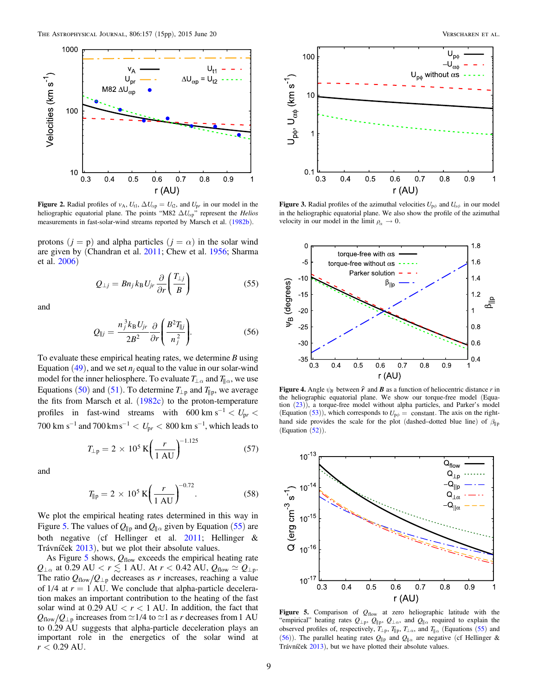<span id="page-8-0"></span>

Figure 2. Radial profiles of  $v_A$ ,  $U_{t1}$ ,  $\Delta U_{\alpha p} = U_{t2}$ , and  $U_{pr}$  in our model in the heliographic equatorial plane. The points "M82  $\Delta U_{\alpha p}$ " represent the *Helios* measurements in fast-solar-wind streams reported by Marsch et al. ([1982b](#page-13-0)).

protons  $(j = p)$  and alpha particles  $(j = \alpha)$  in the solar wind are given by (Chandran et al. [2011;](#page-13-0) Chew et al. [1956](#page-13-0); Sharma et al. [2006](#page-14-0))

$$
Q_{\perp j} = B n_j k_B U_{j r} \frac{\partial}{\partial r} \left( \frac{T_{\perp j}}{B} \right) \tag{55}
$$

and

$$
Q_{\parallel j} = \frac{n_j^3 k_B U_{jr}}{2B^2} \frac{\partial}{\partial r} \left( \frac{B^2 T_{\parallel j}}{n_j^2} \right). \tag{56}
$$

To evaluate these empirical heating rates, we determine  $B$  using Equation ([49](#page-7-0)), and we set  $n_i$  equal to the value in our solar-wind model for the inner heliosphere. To evaluate  $T_{\perp \alpha}$  and  $T_{\parallel \alpha}$ , we use Equations ([50](#page-7-0)) and ([51](#page-7-0)). To determine  $T_{\perp p}$  and  $T_{\parallel p}$ , we average the fits from Marsch et al.  $(1982c)$  $(1982c)$  $(1982c)$  to the proton-temperature profiles in fast-wind streams with  $600 \text{ km s}^{-1} < U_{\text{pr}} <$  $700 \text{ km s}^{-1}$  and  $700 \text{ km s}^{-1} < U_{\text{pr}} < 800 \text{ km s}^{-1}$ , which leads to

$$
T_{\perp p} = 2 \times 10^5 \,\text{K} \bigg( \frac{r}{1 \,\text{AU}} \bigg)^{-1.125} \tag{57}
$$

and

$$
T_{\parallel p} = 2 \times 10^5 \,\mathrm{K} \bigg( \frac{r}{1 \,\mathrm{AU}} \bigg)^{-0.72} . \tag{58}
$$

We plot the empirical heating rates determined in this way in Figure 5. The values of  $Q_{\parallel p}$  and  $Q_{\parallel \alpha}$  given by Equation (55) are both negative (cf Hellinger et al. [2011;](#page-13-0) Hellinger & Trávníček [2013](#page-13-0)), but we plot their absolute values.

As Figure  $5$  shows,  $Q_{flow}$  exceeds the empirical heating rate  $Q_{\perp \alpha}$  at 0.29 AU  $< r \lesssim 1$  AU. At  $r < 0.42$  AU,  $Q_{\rm flow} \simeq Q_{\perp p}$ . The ratio  $Q_{flow}/Q_{\perp p}$  decreases as r increases, reaching a value of  $1/4$  at  $r = 1$  AU. We conclude that alpha-particle deceleration makes an important contribution to the heating of the fast solar wind at  $0.29 \text{ AU} < r < 1 \text{ AU}$ . In addition, the fact that  $Q_{flow}/Q_{\perp p}$  increases from  $\simeq$  1/4 to  $\simeq$  1 as *r* decreases from 1 AU to 0.29 AU suggests that alpha-particle deceleration plays an important role in the energetics of the solar wind at *r* < 0.29 AU.



**Figure 3.** Radial profiles of the azimuthal velocities  $U_{\rho\phi}$  and  $U_{\alpha\phi}$  in our model in the heliographic equatorial plane. We also show the profile of the azimuthal velocity in our model in the limit  $\rho_{\alpha} \to 0$ .



Figure 4. Angle  $\psi_B$  between  $\hat{r}$  and  $\hat{B}$  as a function of heliocentric distance r in the heliographic equatorial plane. We show our torque-free model (Equation ([23](#page-3-0))), a torque-free model without alpha particles, and Parker's model (Equation ([53](#page-7-0))), which corresponds to  $U_{\mathbf{p}\phi} = \mathbf{constant}$ . The axis on the righthand side provides the scale for the plot (dashed–dotted blue line) of  $\beta_{\parallel p}$ (Equation ([52](#page-7-0))).



Figure 5. Comparison of  $Q_{flow}$  at zero heliographic latitude with the "empirical" heating rates  $Q_{\perp p}$ ,  $Q_{\parallel p}$ ,  $Q_{\perp \alpha}$ , and  $Q_{\parallel \alpha}$  required to explain the observed profiles of, respectively,  $T_{\perp p}$ ,  $T_{\parallel p}$ ,  $T_{\perp \alpha}$ , and  $T_{\parallel \alpha}$  (Equations (55) and (56)). The parallel heating rates *Q*∥<sup>p</sup> and *Q*∥*<sup>a</sup>* are negative (cf Hellinger & Trávníček [2013](#page-13-0)), but we have plotted their absolute values.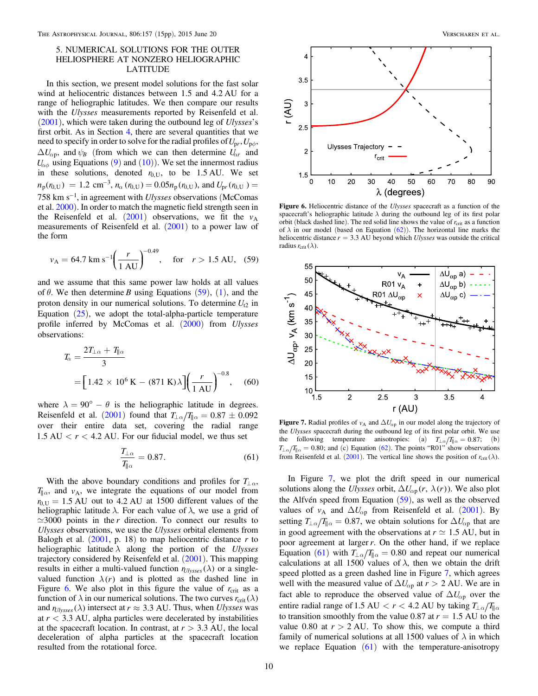## <span id="page-9-0"></span>5. NUMERICAL SOLUTIONS FOR THE OUTER HELIOSPHERE AT NONZERO HELIOGRAPHIC LATITUDE

In this section, we present model solutions for the fast solar wind at heliocentric distances between 1.5 and 4.2 AU for a range of heliographic latitudes. We then compare our results with the *Ulysses* measurements reported by Reisenfeld et al.  $(2001)$  $(2001)$  $(2001)$ , which were taken during the outbound leg of *Ulysses*'s first orbit. As in Section [4](#page-6-0), there are several quantities that we need to specify in order to solve for the radial profiles of  $U_{pr}$ ,  $U_{p\phi}$ ,  $\Delta U_{\alpha p}$ , and  $\psi_B$  (from which we can then determine  $U_{\alpha r}$  and  $U_{\alpha\phi}$  using Equations ([9](#page-2-0)) and ([10](#page-2-0))). We set the innermost radius in these solutions, denoted  $r_{0,\text{U}}$ , to be 1.5 AU. We set  $n_p(r_{0,U}) = 1.2 \text{ cm}^{-3}, n_\alpha(r_{0,U}) = 0.05 n_p(r_{0,U}), \text{ and } U_{pr}(r_{0,U}) = 0.05 n_p(r_{0,U}), \text{ and } U_{pr}(r_{0,U}) = 0.05 n_p(r_{0,U}), \text{ and } U_{pr}(r_{0,U}) = 0.05 n_p(r_{0,U}), \text{ and } U_{pr}(r_{0,U}) = 0.05 n_p(r_{0,U}), \text{ and } U_{pr}(r_{0,U}) = 0.05 n_p(r_{0,U}), \text{ and } U_{pr}(r_{0,U}) = 0.05 n_p(r_{0,U}), \text{ and } U_{pr}(r_{0,U}) = 0$ 758 km  $s^{-1}$ , in agreement with *Ulysses* observations (McComas et al. [2000](#page-14-0)). In order to match the magnetic field strength seen in the Reisenfeld et al.  $(2001)$  $(2001)$  $(2001)$  observations, we fit the  $v_A$ measurements of Reisenfeld et al.  $(2001)$  $(2001)$  $(2001)$  to a power law of the form

$$
v_{\rm A} = 64.7 \text{ km s}^{-1} \left( \frac{r}{1 \text{ AU}} \right)^{-0.49}, \text{ for } r > 1.5 \text{ AU}, (59)
$$

and we assume that this same power law holds at all values of  $\theta$ . We then determine B using Equations (59), ([1](#page-0-0)), and the proton density in our numerical solutions. To determine  $U_{12}$  in Equation ([25](#page-3-0)), we adopt the total-alpha-particle temperature profile inferred by McComas et al. ([2000](#page-14-0)) from Ulysses observations:

$$
T_{\alpha} = \frac{2T_{\perp \alpha} + T_{\parallel \alpha}}{3}
$$
  
=  $\left[ 1.42 \times 10^6 \text{ K} - (871 \text{ K}) \lambda \right] \left( \frac{r}{1 \text{ AU}} \right)^{-0.8}$ , (60)

where  $\lambda = 90^{\circ} - \theta$  is the heliographic latitude in degrees. Reisenfeld et al. ([2001](#page-14-0)) found that  $T_{\perp \alpha}/T_{\parallel \alpha} = 0.87 \pm 0.092$ over their entire data set, covering the radial range  $1.5 \text{ AU} < r < 4.2 \text{ AU}$ . For our fiducial model, we thus set

$$
\frac{T_{\perp \alpha}}{T_{\parallel \alpha}} = 0.87. \tag{61}
$$

With the above boundary conditions and profiles for  $T_{\perp \alpha}$ ,  $T_{\parallel\alpha}$ , and *v*<sub>A</sub>, we integrate the equations of our model from  $r_{0,\text{U}} = 1.5$  AU out to 4.2 AU at 1500 different values of the heliographic latitude  $\lambda$ . For each value of  $\lambda$ , we use a grid of  $\approx$  3000 points in the r direction. To connect our results to Ulysses observations, we use the Ulysses orbital elements from Balogh et al.  $(2001, p. 18)$  $(2001, p. 18)$  $(2001, p. 18)$  to map heliocentric distance r to heliographic latitude  $\lambda$  along the portion of the Ulysses trajectory considered by Reisenfeld et al. ([2001](#page-14-0)). This mapping results in either a multi-valued function  $r_{Ulysses}(\lambda)$  or a singlevalued function  $\lambda(r)$  and is plotted as the dashed line in Figure 6. We also plot in this figure the value of  $r_{\text{crit}}$  as a function of  $\lambda$  in our numerical solutions. The two curves  $r_{\text{crit}}(\lambda)$ and  $r_{Ulysses}(\lambda)$  intersect at  $r \approx 3.3$  AU. Thus, when *Ulysses* was at  $r < 3.3$  AU, alpha particles were decelerated by instabilities at the spacecraft location. In contrast, at  $r > 3.3$  AU, the local deceleration of alpha particles at the spacecraft location resulted from the rotational force.



Figure 6. Heliocentric distance of the *Ulysses* spacecraft as a function of the spacecraft's heliographic latitude  $\lambda$  during the outbound leg of its first polar orbit (black dashed line). The red solid line shows the value of  $r_{\rm crit}$  as a function of  $\lambda$  in our model (based on Equation (62)). The horizontal line marks the heliocentric distance  $r = 3.3$  AU beyond which *Ulysses* was outside the critical radius  $r_{\text{crit}}(\lambda)$ .



**Figure 7.** Radial profiles of  $v_A$  and  $\Delta U_{\alpha p}$  in our model along the trajectory of the Ulysses spacecraft during the outbound leg of its first polar orbit. We use the following temperature anisotropies: (a)  $T_{\perp \alpha}/T_{\parallel \alpha} = 0.87$ ; (b)  $T_{\perp \alpha}/T_{\parallel \alpha} = 0.80$ ; and (c) Equation (62). The points "R01" show observations from Reisenfeld et al. ([2001](#page-14-0)). The vertical line shows the position of  $r_{\text{crit}}(\lambda)$ .

In Figure 7, we plot the drift speed in our numerical solutions along the *Ulysses* orbit,  $\Delta U_{\alpha p}(r, \lambda(r))$ . We also plot the Alfvén speed from Equation (59), as well as the observed values of  $v_A$  and  $\Delta U_{\alpha p}$  from Reisenfeld et al. ([2001](#page-14-0)). By setting  $T_{\perp \alpha}/T_{\parallel \alpha} = 0.87$ , we obtain solutions for  $\Delta U_{\alpha p}$  that are in good agreement with the observations at  $r \approx 1.5$  AU, but in poor agreement at larger r. On the other hand, if we replace Equation (61) with  $T_{\perp \alpha}/T_{\parallel \alpha} = 0.80$  and repeat our numerical calculations at all 1500 values of  $\lambda$ , then we obtain the drift speed plotted as a green dashed line in Figure 7, which agrees well with the measured value of  $\Delta U_{\alpha p}$  at  $r > 2$  AU. We are in fact able to reproduce the observed value of  $\Delta U_{\alpha p}$  over the entire radial range of 1.5 AU  $\lt r \lt 4.2$  AU by taking  $T_{\perp \alpha}/T_{\parallel \alpha}$ to transition smoothly from the value 0.87 at  $r = 1.5$  AU to the value 0.80 at  $r > 2$  AU. To show this, we compute a third family of numerical solutions at all 1500 values of  $\lambda$  in which we replace Equation  $(61)$  with the temperature-anisotropy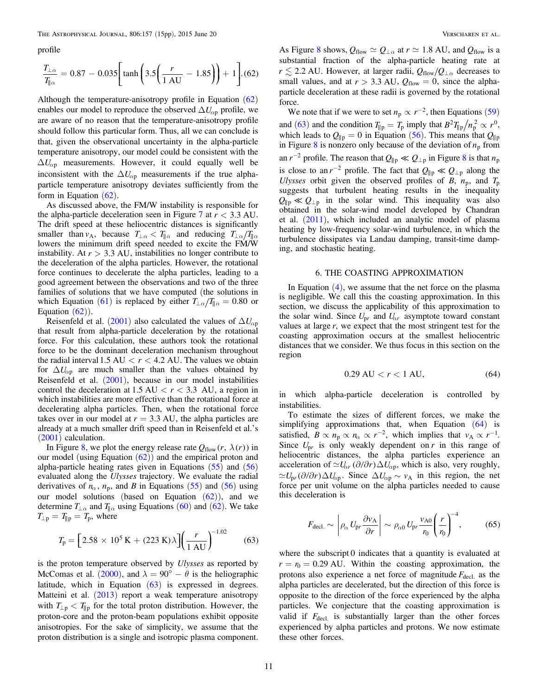<span id="page-10-0"></span>profile

$$
\frac{T_{\perp \alpha}}{T_{\parallel \alpha}} = 0.87 - 0.035 \bigg[ \tanh \bigg( 3.5 \bigg( \frac{r}{1 \text{ AU}} - 1.85 \bigg) \bigg) + 1 \bigg].(62)
$$

Although the temperature-anisotropy profile in Equation  $(62)$  $(62)$  $(62)$ enables our model to reproduce the observed  $\Delta U_{\alpha p}$  profile, we are aware of no reason that the temperature-anisotropy profile should follow this particular form. Thus, all we can conclude is that, given the observational uncertainty in the alpha-particle temperature anisotropy, our model could be consistent with the  $\Delta U_{\alpha p}$  measurements. However, it could equally well be inconsistent with the  $\Delta U_{\alpha p}$  measurements if the true alphaparticle temperature anisotropy deviates sufficiently from the form in Equation  $(62)$  $(62)$  $(62)$ .

As discussed above, the FM/W instability is responsible for the alpha-particle deceleration seen in Figure  $7$  at  $r < 3.3$  AU. The drift speed at these heliocentric distances is significantly smaller than *v*<sub>A</sub>, because  $T_{\perp \alpha} < T_{\parallel \alpha}$  and reducing  $T_{\perp \alpha}/T_{\parallel \alpha}$ lowers the minimum drift speed needed to excite the FM/W instability. At  $r > 3.3$  AU, instabilities no longer contribute to the deceleration of the alpha particles. However, the rotational force continues to decelerate the alpha particles, leading to a good agreement between the observations and two of the three families of solutions that we have computed (the solutions in which Equation ([61](#page-9-0)) is replaced by either  $T_{\perp \alpha}/T_{\parallel \alpha} = 0.80$  or Equation  $(62)$  $(62)$  $(62)$ ).

Reisenfeld et al. ([2001](#page-14-0)) also calculated the values of  $\Delta U_{\alpha p}$ that result from alpha-particle deceleration by the rotational force. For this calculation, these authors took the rotational force to be the dominant deceleration mechanism throughout the radial interval 1.5 AU  $< r < 4.2$  AU. The values we obtain for  $\Delta U_{\alpha p}$  are much smaller than the values obtained by Reisenfeld et al. ([2001](#page-14-0)), because in our model instabilities control the deceleration at  $1.5 \text{ AU} < r < 3.3 \text{ AU}$ , a region in which instabilities are more effective than the rotational force at decelerating alpha particles. Then, when the rotational force takes over in our model at  $r = 3.3$  AU, the alpha particles are already at a much smaller drift speed than in Reisenfeld et al.'s ([2001](#page-14-0)) calculation.

In Figure [8](#page-11-0), we plot the energy release rate  $Q_{flow}(r, \lambda(r))$  in our model (using Equation  $(62)$  $(62)$  $(62)$ ) and the empirical proton and alpha-particle heating rates given in Equations  $(55)$  $(55)$  $(55)$  and  $(56)$  $(56)$  $(56)$ evaluated along the Ulysses trajectory. We evaluate the radial derivatives of  $n_{\alpha}$ ,  $n_{\rm p}$ , and B in Equations ([55](#page-8-0)) and ([56](#page-8-0)) using our model solutions (based on Equation  $(62)$  $(62)$  $(62)$ ), and we determine  $T_{\perp \alpha}$  and  $T_{\parallel \alpha}$  using Equations ([60](#page-9-0)) and ([62](#page-9-0)). We take  $T_{\perp p} = T_{\parallel p} = T_p$ , where

$$
T_{\rm p} = \left[2.58 \times 10^5 \,\text{K} + (223 \,\text{K})\lambda\right] \left(\frac{r}{1 \,\text{AU}}\right)^{-1.02} \tag{63}
$$

is the proton temperature observed by Ulysses as reported by McComas et al. ([2000](#page-14-0)), and  $\lambda = 90^{\circ} - \theta$  is the heliographic latitude, which in Equation  $(63)$  is expressed in degrees. Matteini et al. ([2013](#page-13-0)) report a weak temperature anisotropy with  $T_{\perp p} < T_{\parallel p}$  for the total proton distribution. However, the proton-core and the proton-beam populations exhibit opposite anisotropies. For the sake of simplicity, we assume that the proton distribution is a single and isotropic plasma component. As Figure [8](#page-11-0) shows,  $Q_{flow} \simeq Q_{\perp \alpha}$  at  $r \simeq 1.8$  AU, and  $Q_{flow}$  is a substantial fraction of the alpha-particle heating rate at  $r \lesssim 2.2$  AU. However, at larger radii,  $Q_{flow}/Q_{\perp \alpha}$  decreases to small values, and at  $r > 3.3$  AU,  $Q_{flow} = 0$ , since the alphaparticle deceleration at these radii is governed by the rotational force.

We note that if we were to set  $n_p \propto r^{-2}$ , then Equations ([59](#page-9-0)) and (63) and the condition  $T_{\parallel p} = T_p$  imply that  $B^2 T_{\parallel p} / n_p^2 \propto r^0$ , which leads to  $Q_{\parallel p} = 0$  in Equation ([56](#page-8-0)). This means that  $Q_{\parallel p}$ in Figure [8](#page-11-0) is nonzero only because of the deviation of  $n_p$  from an  $r^{-2}$  profile. The reason that  $Q_{\parallel p} \ll Q_{\perp p}$  in Figure [8](#page-11-0) is that  $n_p$ is close to an  $r^{-2}$  profile. The fact that  $Q_{\parallel p} \ll Q_{\perp p}$  along the Ulysses orbit given the observed profiles of B,  $n_p$ , and  $T_p$ suggests that turbulent heating results in the inequality  $Q_{\parallel p} \ll Q_{\perp p}$  in the solar wind. This inequality was also obtained in the solar-wind model developed by Chandran et al. ([2011](#page-13-0)), which included an analytic model of plasma heating by low-frequency solar-wind turbulence, in which the turbulence dissipates via Landau damping, transit-time damping, and stochastic heating.

### 6. THE COASTING APPROXIMATION

In Equation  $(4)$  $(4)$  $(4)$ , we assume that the net force on the plasma is negligible. We call this the coasting approximation. In this section, we discuss the applicability of this approximation to the solar wind. Since  $U_{pr}$  and  $U_{\alpha r}$  asymptote toward constant values at large  $r$ , we expect that the most stringent test for the coasting approximation occurs at the smallest heliocentric distances that we consider. We thus focus in this section on the region

$$
0.29 \, \text{AU} < r < 1 \, \text{AU}, \tag{64}
$$

in which alpha-particle deceleration is controlled by instabilities.

To estimate the sizes of different forces, we make the simplifying approximations that, when Equation (64) is satisfied,  $B \propto n_p \propto n_\alpha \propto r^{-2}$ , which implies that  $v_A \propto r^{-1}$ . Since  $U_{pr}$  is only weakly dependent on r in this range of heliocentric distances, the alpha particles experience an acceleration of  $\approx U_{\alpha r} (\partial/\partial r) \Delta U_{\alpha p}$ , which is also, very roughly,  $\approx U_{\text{pr}}(\partial/\partial r)\Delta U_{\text{op}}$ . Since  $\Delta U_{\text{op}} \sim v_{\text{A}}$  in this region, the net force per unit volume on the alpha particles needed to cause this deceleration is

$$
F_{\text{decl.}} \sim \left| \rho_{\alpha} \, U_{\text{pr}} \frac{\partial v_{\text{A}}}{\partial r} \right| \sim \rho_{\alpha 0} \, U_{\text{pr}} \frac{v_{\text{A}0}}{r_0} \left( \frac{r}{r_0} \right)^{-4},\tag{65}
$$

where the subscript 0 indicates that a quantity is evaluated at  $r = r_0 = 0.29$  AU. Within the coasting approximation, the protons also experience a net force of magnitude  $F_{\text{decl.}}$  as the alpha particles are decelerated, but the direction of this force is opposite to the direction of the force experienced by the alpha particles. We conjecture that the coasting approximation is valid if  $F_{\text{decl.}}$  is substantially larger than the other forces experienced by alpha particles and protons. We now estimate these other forces.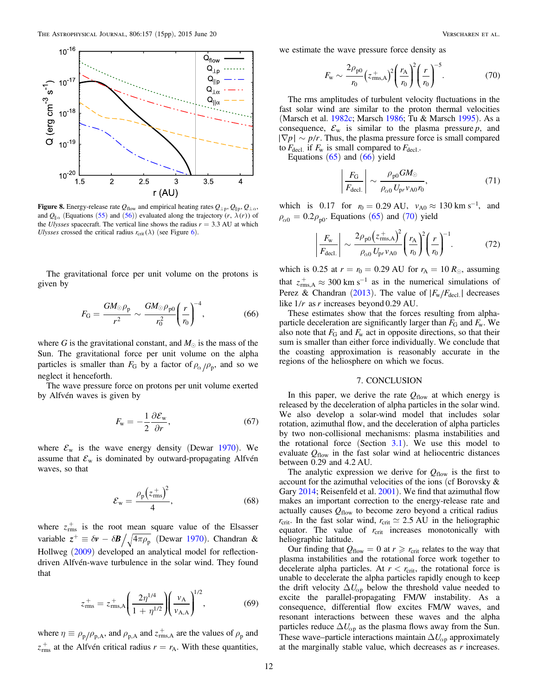<span id="page-11-0"></span>

Figure 8. Energy-release rate  $Q_{flow}$  and empirical heating rates  $Q_{\perp p}$ ,  $Q_{\parallel p}$ ,  $Q_{\perp \alpha}$ , and  $Q_{\parallel}$  (Equations ([55](#page-8-0)) and ([56](#page-8-0))) evaluated along the trajectory (r,  $\lambda(r)$ ) of the *Ulysses* spacecraft. The vertical line shows the radius  $r = 3.3 \text{ AU}$  at which Ulysses crossed the critical radius  $r_{\text{crit}}(\lambda)$  (see Figure [6](#page-9-0)).

The gravitational force per unit volume on the protons is given by

$$
F_{\rm G} = \frac{GM_{\odot}\rho_{\rm p}}{r^2} \sim \frac{GM_{\odot}\rho_{\rm p0}}{r_0^2} \left(\frac{r}{r_0}\right)^{-4},\tag{66}
$$

where G is the gravitational constant, and  $M_{\odot}$  is the mass of the Sun. The gravitational force per unit volume on the alpha particles is smaller than  $F_G$  by a factor of  $\rho_{\alpha}/\rho_p$ , and so we neglect it henceforth.

The wave pressure force on protons per unit volume exerted by Alfvén waves is given by

$$
F_{\rm w} = -\frac{1}{2} \frac{\partial \mathcal{E}_{\rm w}}{\partial r},\tag{67}
$$

where  $\mathcal{E}_{\rm w}$  is the wave energy density (Dewar [1970](#page-13-0)). We assume that  $\mathcal{E}_{w}$  is dominated by outward-propagating Alfvén waves, so that

$$
\mathcal{E}_{\rm w} = \frac{\rho_{\rm p} (z_{\rm rms}^{+})^2}{4},\tag{68}
$$

where  $z_{\text{rms}}^+$  is the root mean square value of the Elsasser variable  $z^+ \equiv \delta v - \delta B / \sqrt{4 \pi \rho_p}$  (Dewar [1970](#page-13-0)). Chandran & Hollweg ([2009](#page-13-0)) developed an analytical model for reflectiondriven Alfvén-wave turbulence in the solar wind. They found that

$$
z_{\rm rms}^+ = z_{\rm rms,A}^+ \left( \frac{2\eta^{1/4}}{1 + \eta^{1/2}} \right) \left( \frac{v_{\rm A}}{v_{\rm A,A}} \right)^{1/2},\tag{69}
$$

where  $\eta \equiv \rho_p/\rho_{p,A}$ , and  $\rho_{p,A}$  and  $z_{\text{rms},A}^+$  are the values of  $\rho_p$  and  $z_{\text{rms}}^+$  at the Alfvén critical radius  $r = r_A$ . With these quantities,

we estimate the wave pressure force density as

$$
F_{\rm w} \sim \frac{2\rho_{\rm p0}}{r_0} \left(z_{\rm rms,A}^{+}\right)^2 \left(\frac{r_{\rm A}}{r_0}\right)^2 \left(\frac{r}{r_0}\right)^{-5}.\tag{70}
$$

The rms amplitudes of turbulent velocity fluctuations in the fast solar wind are similar to the proton thermal velocities (Marsch et al. [1982c;](#page-13-0) Marsch [1986;](#page-13-0) Tu & Marsch [1995](#page-14-0)). As a consequence,  $\mathcal{E}_{\rm w}$  is similar to the plasma pressure p, and  $|\nabla p| \sim p/r$ . Thus, the plasma pressure force is small compared to  $F_{\text{decl.}}$  if  $F_{\text{w}}$  is small compared to  $F_{\text{decl.}}$ .

Equations  $(65)$  $(65)$  $(65)$  and  $(66)$  yield

$$
\left|\frac{F_{\rm G}}{F_{\rm decl.}}\right| \sim \frac{\rho_{\rm p0} G M_{\odot}}{\rho_{\alpha 0} U_{\rm pr} v_{\rm A0} r_{\rm 0}},\tag{71}
$$

which is 0.17 for  $r_0 = 0.29 \text{ AU}, v_{A0} \approx 130 \text{ km s}^{-1}, \text{ and}$  $\rho_{\alpha 0} = 0.2 \rho_{\text{p0}}$ . Equations ([65](#page-10-0)) and (70) yield

$$
\left|\frac{F_{\rm w}}{F_{\rm decl.}}\right| \sim \frac{2\rho_{\rm p0}\left(z_{\rm rms,A}^{+}\right)^{2}}{\rho_{\alpha 0} U_{\rm pr} \nu_{\rm A0}} \left(\frac{r_{\rm A}}{r_{\rm 0}}\right)^{2} \left(\frac{r}{r_{\rm 0}}\right)^{-1}.\tag{72}
$$

which is 0.25 at  $r = r_0 = 0.29$  AU for  $r_A = 10 R_{\odot}$ , assuming that  $z_{\text{rms,A}}^{+} \approx 300 \text{ km s}^{-1}$  as in the numerical simulations of Perez & Chandran ([2013](#page-14-0)). The value of *F<sub>W</sub> F*<sub>decl.</sub> *∣* decreases like  $1/r$  as r increases beyond 0.29 AU.

These estimates show that the forces resulting from alphaparticle deceleration are significantly larger than  $F_G$  and  $F_w$ . We also note that  $F_G$  and  $F_w$  act in opposite directions, so that their sum is smaller than either force individually. We conclude that the coasting approximation is reasonably accurate in the regions of the heliosphere on which we focus.

### 7. CONCLUSION

In this paper, we derive the rate  $Q_{flow}$  at which energy is released by the deceleration of alpha particles in the solar wind. We also develop a solar-wind model that includes solar rotation, azimuthal flow, and the deceleration of alpha particles by two non-collisional mechanisms: plasma instabilities and the rotational force (Section  $3.1$ ). We use this model to evaluate  $Q_{flow}$  in the fast solar wind at heliocentric distances between 0.29 and 4.2 AU.

The analytic expression we derive for  $Q_{flow}$  is the first to account for the azimuthal velocities of the ions (cf Borovsky & Gary [2014;](#page-13-0) Reisenfeld et al. [2001](#page-14-0)). We find that azimuthal flow makes an important correction to the energy-release rate and actually causes  $Q_{flow}$  to become zero beyond a critical radius  $r_{\text{crit}}$ . In the fast solar wind,  $r_{\text{crit}} \simeq 2.5 \text{ AU}$  in the heliographic equator. The value of  $r_{\text{crit}}$  increases monotonically with heliographic latitude.

Our finding that  $Q_{flow} = 0$  at  $r \ge r_{crit}$  relates to the way that plasma instabilities and the rotational force work together to decelerate alpha particles. At  $r < r_{\text{crit}}$ , the rotational force is unable to decelerate the alpha particles rapidly enough to keep the drift velocity  $\Delta U_{\alpha p}$  below the threshold value needed to excite the parallel-propagating FM/W instability. As a consequence, differential flow excites FM/W waves, and resonant interactions between these waves and the alpha particles reduce  $\Delta U_{\alpha p}$  as the plasma flows away from the Sun. These wave–particle interactions maintain  $\Delta U_{\alpha p}$  approximately at the marginally stable value, which decreases as  $r$  increases.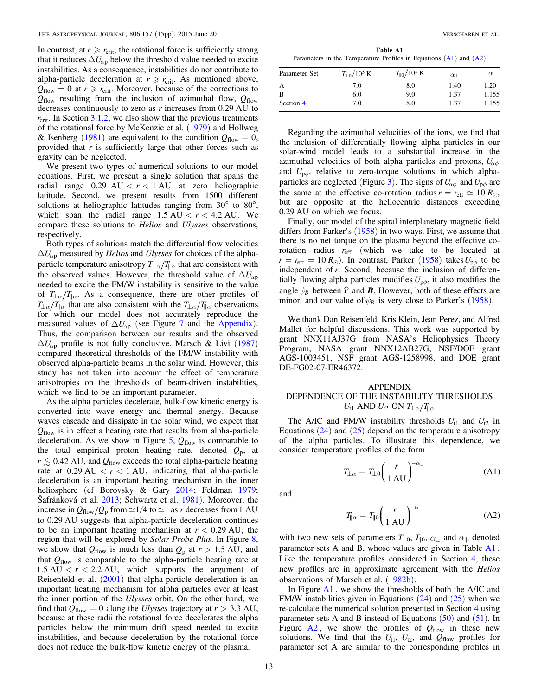<span id="page-12-0"></span>In contrast, at  $r \ge r_{\text{crit}}$ , the rotational force is sufficiently strong that it reduces  $\Delta U_{\alpha p}$  below the threshold value needed to excite instabilities. As a consequence, instabilities do not contribute to alpha-particle deceleration at  $r \ge r_{\text{crit}}$ . As mentioned above,  $Q_{flow} = 0$  at  $r \ge r_{crit}$ . Moreover, because of the corrections to  $Q_{flow}$  resulting from the inclusion of azimuthal flow,  $Q_{flow}$ decreases continuously to zero as  $r$  increases from 0.29 AU to  $r_{\text{crit}}$ . In Section 3.1.2, we also show that the previous treatments of the rotational force by McKenzie et al. ([1979](#page-14-0)) and Hollweg & Isenberg ([1981](#page-13-0)) are equivalent to the condition  $Q_{flow} = 0$ , provided that  $r$  is sufficiently large that other forces such as gravity can be neglected.

We present two types of numerical solutions to our model equations. First, we present a single solution that spans the radial range  $0.29 \text{ AU} < r < 1 \text{ AU}$  at zero heliographic latitude. Second, we present results from 1500 different solutions at heliographic latitudes ranging from 30° to 80°, which span the radial range  $1.5 \text{ AU} < r < 4.2 \text{ AU}$ . We compare these solutions to Helios and Ulysses observations, respectively.

Both types of solutions match the differential flow velocities  $\Delta U_{\alpha p}$  measured by *Helios* and *Ulysses* for choices of the alphaparticle temperature anisotropy  $T_{\perp \alpha}/T_{\parallel \alpha}$  that are consistent with the observed values. However, the threshold value of  $\Delta U_{\alpha p}$ needed to excite the FM/W instability is sensitive to the value of  $T_{\perp \alpha}/T_{\parallel \alpha}$ . As a consequence, there are other profiles of  $T_{\perp \alpha}/T_{\parallel \alpha}$  that are also consistent with the  $T_{\perp \alpha}/T_{\parallel \alpha}$  observations for which our model does not accurately reproduce the measured values of  $\Delta U_{\alpha p}$  (see Figure [7](#page-9-0) and the Appendix). Thus, the comparison between our results and the observed  $\Delta U_{\alpha p}$  profile is not fully conclusive. Marsch & Livi ([1987](#page-13-0)) compared theoretical thresholds of the FM/W instability with observed alpha-particle beams in the solar wind. However, this study has not taken into account the effect of temperature anisotropies on the thresholds of beam-driven instabilities, which we find to be an important parameter.

As the alpha particles decelerate, bulk-flow kinetic energy is converted into wave energy and thermal energy. Because waves cascade and dissipate in the solar wind, we expect that  $Q<sub>flow</sub>$  is in effect a heating rate that results from alpha-particle deceleration. As we show in Figure [5](#page-8-0),  $Q_{flow}$  is comparable to the total empirical proton heating rate, denoted  $Q_p$ , at  $r \lesssim 0.42$  AU, and  $Q_{flow}$  exceeds the total alpha-particle heating rate at  $0.29 \text{ AU} < r < 1 \text{ AU}$ , indicating that alpha-particle deceleration is an important heating mechanism in the inner heliosphere (cf Borovsky & Gary [2014](#page-13-0); Feldman [1979](#page-13-0); Šafránková et al. [2013;](#page-14-0) Schwartz et al. [1981](#page-14-0)). Moreover, the increase in  $Q_{flow}/Q_p$  from  $\simeq$  1/4 to  $\simeq$  1 as r decreases from 1 AU to 0.29 AU suggests that alpha-particle deceleration continues to be an important heating mechanism at  $r < 0.29$  AU, the region that will be explored by Solar Probe Plus. In Figure [8,](#page-11-0) we show that  $Q_{flow}$  is much less than  $Q_p$  at  $r > 1.5$  AU, and that *Q*flow is comparable to the alpha-particle heating rate at  $1.5 \text{ AU} < r < 2.2 \text{ AU}$ , which supports the argument of Reisenfeld et al. ([2001](#page-14-0)) that alpha-particle deceleration is an important heating mechanism for alpha particles over at least the inner portion of the Ulysses orbit. On the other hand, we find that  $Q_{flow} = 0$  along the *Ulysses* trajectory at  $r > 3.3$  AU, because at these radii the rotational force decelerates the alpha particles below the minimum drift speed needed to excite instabilities, and because deceleration by the rotational force does not reduce the bulk-flow kinetic energy of the plasma.

Parameters in the Temperature Profiles in Equations  $(A1)$  and  $(A2)$ 

| Parameter Set | $T_{\perp 0}/10^5\,\rm K$ | $T_{\parallel 0}/10^5$ K | $\alpha$ | $\alpha_{\rm II}$ |
|---------------|---------------------------|--------------------------|----------|-------------------|
| А             | 7.0                       | 8.0                      | 1.40     | 1.20              |
| B             | 6.0                       | 9.0                      | 1.37     | 1.155             |
| Section 4     | 7.0                       | 8.0                      | 1.37     | 1.155             |

Regarding the azimuthal velocities of the ions, we find that the inclusion of differentially flowing alpha particles in our solar-wind model leads to a substantial increase in the azimuthal velocities of both alpha particles and protons,  $U_{\alpha\phi}$ and  $U_{\rho\phi}$ , relative to zero-torque solutions in which alpha-particles are neglected (Figure [3](#page-8-0)). The signs of  $U_{\alpha\phi}$  and  $U_{\rho\phi}$  are the same at the effective co-rotation radius  $r = r_{\text{eff}} \simeq 10 R_{\odot}$ , but are opposite at the heliocentric distances exceeding 0.29 AU on which we focus.

Finally, our model of the spiral interplanetary magnetic field differs from Parker's  $(1958)$  $(1958)$  $(1958)$  in two ways. First, we assume that there is no net torque on the plasma beyond the effective corotation radius *r*eff (which we take to be located at  $r = r_{\text{eff}} = 10 R_{\odot}$ ). In contrast, Parker ([1958](#page-14-0)) takes  $U_{\text{p}\phi}$  to be independent of r. Second, because the inclusion of differentially flowing alpha particles modifies  $U_{\mathsf{p}\phi}$ , it also modifies the angle  $\psi_B$  between  $\hat{r}$  and **B**. However, both of these effects are minor, and our value of  $\psi_B$  is very close to Parker's ([1958](#page-14-0)).

We thank Dan Reisenfeld, Kris Klein, Jean Perez, and Alfred Mallet for helpful discussions. This work was supported by grant NNX11AJ37G from NASA's Heliophysics Theory Program, NASA grant NNX12AB27G, NSF/DOE grant AGS-1003451, NSF grant AGS-1258998, and DOE grant DE-FG02-07-ER46372.

# APPENDIX DEPENDENCE OF THE INSTABILITY THRESHOLDS *U*<sub>t1</sub> AND *U*<sub>t2</sub> ON  $T_{\perp \alpha}/T_{\parallel \alpha}$

The A/IC and FM/W instability thresholds  $U_{11}$  and  $U_{12}$  in Equations  $(24)$  $(24)$  $(24)$  and  $(25)$  $(25)$  $(25)$  depend on the temperature anisotropy of the alpha particles. To illustrate this dependence, we consider temperature profiles of the form

$$
T_{\perp\alpha} = T_{\perp 0} \left(\frac{r}{1 \text{ AU}}\right)^{-\alpha_{\perp}} \tag{A1}
$$

and

$$
T_{\parallel \alpha} = T_{\parallel 0} \left( \frac{r}{1 \text{ AU}} \right)^{-\alpha_{\parallel}} \tag{A2}
$$

with two new sets of parameters  $T_{\perp 0}$ ,  $T_{\parallel 0}$ ,  $\alpha_{\perp}$  and  $\alpha_{\parallel}$ , denoted parameter sets A and B, whose values are given in Table A1 . Like the temperature profiles considered in Section [4,](#page-6-0) these new profiles are in approximate agreement with the Helios observations of Marsch et al. ([1982b](#page-13-0)).

In Figure [A1](#page-13-0) , we show the thresholds of both the A/IC and FM/W instabilities given in Equations  $(24)$  $(24)$  $(24)$  and  $(25)$  $(25)$  $(25)$  when we re-calculate the numerical solution presented in Section [4](#page-6-0) using parameter sets A and B instead of Equations  $(50)$  $(50)$  $(50)$  and  $(51)$  $(51)$  $(51)$ . In Figure  $A2$ , we show the profiles of  $Q_{flow}$  in these new solutions. We find that the  $U_{t1}$ ,  $U_{t2}$ , and  $Q_{flow}$  profiles for parameter set A are similar to the corresponding profiles in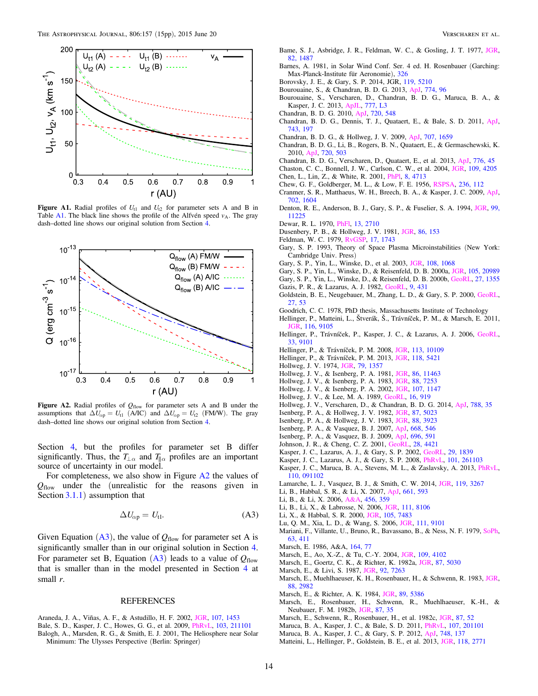<span id="page-13-0"></span>

Figure A1. Radial profiles of  $U_{t1}$  and  $U_{t2}$  for parameter sets A and B in Table [A1](#page-12-0). The black line shows the profile of the Alfvén speed  $v_A$ . The gray dash–dotted line shows our original solution from Section [4.](#page-6-0)



Figure A2. Radial profiles of  $Q_{flow}$  for parameter sets A and B under the assumptions that  $\Delta U_{\alpha p} = U_{t1}$  (A/IC) and  $\Delta U_{\alpha p} = U_{t2}$  (FM/W). The gray dash–dotted line shows our original solution from Section [4.](#page-6-0)

Section [4](#page-6-0), but the profiles for parameter set B differ significantly. Thus, the  $T_{\perp \alpha}$  and  $T_{\parallel \alpha}$  profiles are an important source of uncertainty in our model.

For completeness, we also show in Figure A2 the values of *Q*flow under the (unrealistic for the reasons given in Section 3.1.1) assumption that

$$
\Delta U_{\alpha p} = U_{t1}.\tag{A3}
$$

Given Equation  $(A3)$ , the value of  $Q_{flow}$  for parameter set A is significantly smaller than in our original solution in Section [4.](#page-6-0) For parameter set B, Equation  $(A3)$  leads to a value of  $Q_{flow}$ that is smaller than in the model presented in Section [4](#page-6-0) at small  $r$ .

#### **REFERENCES**

- Araneda, J. A., Viñas, A. F., & Astudillo, H. F. 2002, [JGR,](http://dx.doi.org/10.1029/2002JA009337) [107, 1453](http://adsabs.harvard.edu/abs/2002JGR...107.1453A) Bale, S. D., Kasper, J. C., Howes, G. G., et al. 2009, [PhRvL](http://dx.doi.org/10.1103/PhysRevLett.103.211101), [103, 211101](http://adsabs.harvard.edu/abs/2009PhRvL.103u1101B)
- Balogh, A., Marsden, R. G., & Smith, E. J. 2001, The Heliosphere near Solar Minimum: The Ulysses Perspective (Berlin: Springer)
- Bame, S. J., Asbridge, J. R., Feldman, W. C., & Gosling, J. T. 1977, [JGR](http://dx.doi.org/10.1029/JA082i010p01487)[,](http://adsabs.harvard.edu/abs/1977JGR....82.1487B) [82, 1487](http://adsabs.harvard.edu/abs/1977JGR....82.1487B)
- Barnes, A. 1981, in Solar Wind Conf. Ser. 4 ed. H. Rosenbauer (Garching: Max-Planck-Institute für Aeronomie), [326](http://adsabs.harvard.edu/abs/1981sowi.conf..326B)
- Borovsky, J. E., & Gary, S. P. 2014, JGR, [119, 5210](http://adsabs.harvard.edu/abs/2014JGR...119.5210B)
- Bourouaine, S., & Chandran, B. D. G. 2013, [ApJ,](http://dx.doi.org/10.1088/0004-637X/774/2/96) [774, 96](http://adsabs.harvard.edu/abs/2013ApJ...774...96B)
- Bourouaine, S., Verscharen, D., Chandran, B. D. G., Maruca, B. A., & Kasper, J. C. 2013, [ApJL,](http://dx.doi.org/10.1088/2041-8205/777/1/L3) [777, L3](http://adsabs.harvard.edu/abs/2013ApJ...777L...3B) Chandran, B. D. G. 2010, [ApJ](http://dx.doi.org/10.1088/0004-637X/720/1/548), [720, 548](http://adsabs.harvard.edu/abs/2010ApJ...720..548C)
- Chandran, B. D. G., Dennis, T. J., Quataert, E., & Bale, S. D. 2011, [ApJ](http://dx.doi.org/10.1088/0004-637X/743/2/197)[,](http://adsabs.harvard.edu/abs/2011ApJ...743..197C) [743, 197](http://adsabs.harvard.edu/abs/2011ApJ...743..197C)
- Chandran, B. D. G., & Hollweg, J. V. 2009, [ApJ](http://dx.doi.org/10.1088/0004-637X/707/2/1659), [707, 1659](http://adsabs.harvard.edu/abs/2009ApJ...707.1659C)
- Chandran, B. D. G., Li, B., Rogers, B. N., Quataert, E., & Germaschewski, K. 2010, [ApJ](http://dx.doi.org/10.1088/0004-637X/720/1/503), [720, 503](http://adsabs.harvard.edu/abs/2010ApJ...720..503C)
- Chandran, B. D. G., Verscharen, D., Quataert, E., et al. 2013, [ApJ](http://dx.doi.org/10.1088/0004-637X/776/1/45), [776, 45](http://adsabs.harvard.edu/abs/2013ApJ...776...45C)
- Chaston, C. C., Bonnell, J. W., Carlson, C. W., et al. 2004, [JGR,](http://dx.doi.org/10.1029/2003JA010053) [109, 4205](http://adsabs.harvard.edu/abs/2004JGR...109.4205C) Chen, L., Lin, Z., & White, R. 2001, [PhPl](http://dx.doi.org/10.1063/1.1406939), [8, 4713](http://adsabs.harvard.edu/abs/2001PhPl....8.4713C)
- Chew, G. F., Goldberger, M. L., & Low, F. E. 1956, [RSPSA,](http://dx.doi.org/10.1098/rspa.1956.0116) [236, 112](http://adsabs.harvard.edu/abs/1956RSPSA.236..112C)
- Cranmer, S. R., Matthaeus, W. H., Breech, B. A., & Kasper, J. C. 2009, [ApJ](http://dx.doi.org/10.1088/0004-637X/702/2/1604)[,](http://adsabs.harvard.edu/abs/2009ApJ...702.1604C) [702, 1604](http://adsabs.harvard.edu/abs/2009ApJ...702.1604C)
- Denton, R. E., Anderson, B. J., Gary, S. P., & Fuselier, S. A. 1994, [JGR](http://dx.doi.org/10.1029/94JA00272), [99,](http://adsabs.harvard.edu/abs/1994JGR....9911225D) [11225](http://adsabs.harvard.edu/abs/1994JGR....9911225D)
- Dewar, R. L. 1970, [PhFl](http://dx.doi.org/10.1063/1.1692854), [13, 2710](http://adsabs.harvard.edu/abs/1970PhFl...13.2710D)
- Dusenbery, P. B., & Hollweg, J. V. 1981, [JGR](http://dx.doi.org/10.1029/JA086iA01p00153), [86, 153](http://adsabs.harvard.edu/abs/1981JGR....86..153D)
- Feldman, W. C. 1979, [RvGSP,](http://dx.doi.org/10.1029/RG017i007p01743) [17, 1743](http://adsabs.harvard.edu/abs/1979RvGSP..17.1743F)
- Gary, S. P. 1993, Theory of Space Plasma Microinstabilities (New York: Cambridge Univ. Press)
- Gary, S. P., Yin, L., Winske, D., et al. 2003, [JGR,](http://dx.doi.org/10.1029/2002JA009654) [108, 1068](http://adsabs.harvard.edu/abs/2003JGR...108.1068G)
- Gary, S. P., Yin, L., Winske, D., & Reisenfeld, D. B. 2000a, [JGR,](http://dx.doi.org/10.1029/2000JA000049) [105, 20989](http://adsabs.harvard.edu/abs/2000JGR...10520989G)
- Gary, S. P., Yin, L., Winske, D., & Reisenfeld, D. B. 2000b, [GeoRL,](http://dx.doi.org/10.1029/2000GL000019) [27, 1355](http://adsabs.harvard.edu/abs/2000GeoRL..27.1355G)
- Gazis, P. R., & Lazarus, A. J. 1982, [GeoRL,](http://dx.doi.org/10.1029/GL009i004p00431) [9, 431](http://adsabs.harvard.edu/abs/1982GeoRL...9..431G)
- Goldstein, B. E., Neugebauer, M., Zhang, L. D., & Gary, S. P. 2000, [GeoRL](http://dx.doi.org/10.1029/1999GL003637)[,](http://adsabs.harvard.edu/abs/2000GeoRL..27...53G) [27, 53](http://adsabs.harvard.edu/abs/2000GeoRL..27...53G)
- Goodrich, C. C. 1978, PhD thesis, Massachusetts Institute of Technology
- Hellinger, P., Matteini, L., Štverák, Š., Trávníček, P. M., & Marsch, E. 2011, GR, [116, 9105](http://adsabs.harvard.edu/abs/2011JGR...116.9105H)
- Hellinger, P., Trávníček, P., Kasper, J. C., & Lazarus, A. J. 2006, [GeoRL](http://dx.doi.org/10.1029/2006GL025925)[,](http://adsabs.harvard.edu/abs/2006GeoRL..33.9101H) [33, 9101](http://adsabs.harvard.edu/abs/2006GeoRL..33.9101H)
- Hellinger, P., & Trávníček, P. M. 2008, [JGR](http://dx.doi.org/10.1029/2008JA013416), [113, 10109](http://adsabs.harvard.edu/abs/2008JGR...1131.109H)
- Hellinger, P., & Trávníček, P. M. 2013, [JGR](http://dx.doi.org/10.1002/jgra.50540), [118, 5421](http://adsabs.harvard.edu/abs/2013JGR...118.5421H)
- Hollweg, J. V. 1974, [JGR,](http://dx.doi.org/10.1029/JA079i010p01357) [79, 1357](http://adsabs.harvard.edu/abs/1974JGR....79.1357H)
- Hollweg, J. V., & Isenberg, P. A. 1981, [JGR,](http://dx.doi.org/10.1029/JA086iA13p11463) [86, 11463](http://adsabs.harvard.edu/abs/1981JGR....8611463H)
- Hollweg, J. V., & Isenberg, P. A. 1983, [JGR,](http://dx.doi.org/10.1029/JA088iA09p07253) [88, 7253](http://adsabs.harvard.edu/abs/1983JGR....88.7253H)
- Hollweg, J. V., & Isenberg, P. A. 2002, [JGR,](http://dx.doi.org/10.1029/2001JA000270) [107, 1147](http://adsabs.harvard.edu/abs/2002JGR...107.1147H)
- Hollweg, J. V., & Lee, M. A. 1989, [GeoRL](http://dx.doi.org/10.1029/GL016i008p00919), [16, 919](http://adsabs.harvard.edu/abs/1989GeoRL..16..919H)
- Hollweg, J. V., Verscharen, D., & Chandran, B. D. G. 2014, [ApJ](http://dx.doi.org/10.1088/0004-637X/788/1/35), [788, 35](http://adsabs.harvard.edu/abs/2014ApJ...788...35H)
- Isenberg, P. A., & Hollweg, J. V. 1982, [JGR,](http://dx.doi.org/10.1029/JA087iA07p05023) [87, 5023](http://adsabs.harvard.edu/abs/1982JGR....87.5023I)
- Isenberg, P. A., & Hollweg, J. V. 1983, [JGR,](http://dx.doi.org/10.1029/JA088iA05p03923) [88, 3923](http://adsabs.harvard.edu/abs/1983JGR....88.3923I)
- Isenberg, P. A., & Vasquez, B. J. 2007, [ApJ,](http://dx.doi.org/10.1086/521220) [668, 546](http://adsabs.harvard.edu/abs/2007ApJ...668..546I)
- Isenberg, P. A., & Vasquez, B. J. 2009, [ApJ,](http://dx.doi.org/10.1088/0004-637X/696/1/591) [696, 591](http://adsabs.harvard.edu/abs/2009ApJ...696..591I)
- Johnson, J. R., & Cheng, C. Z. 2001, [GeoRL,](http://dx.doi.org/10.1029/2001GL013509) [28, 4421](http://adsabs.harvard.edu/abs/2001GeoRL..28.4421J)
- Kasper, J. C., Lazarus, A. J., & Gary, S. P. 2002, [GeoRL](http://dx.doi.org/10.1029/2002GL015128), [29, 1839](http://adsabs.harvard.edu/abs/2002GeoRL..29.1839K) Kasper, J. C., Lazarus, A. J., & Gary, S. P. 2008, [PhRvL,](http://dx.doi.org/10.1103/PhysRevLett.101.261103) [101, 261103](http://adsabs.harvard.edu/abs/2008PhRvL.101z1103K)
- Kasper, J. C., Maruca, B. A., Stevens, M. L., & Zaslavsky, A. 2013, [PhRvL](http://dx.doi.org/10.1103/PhysRevLett.110.091102)[,](http://adsabs.harvard.edu/abs/2013PhRvL.110i1102K) [110, 091102](http://adsabs.harvard.edu/abs/2013PhRvL.110i1102K)
- Lamarche, L. J., Vasquez, B. J., & Smith, C. W. 2014, [JGR,](http://dx.doi.org/10.1002/2013JA019529) [119, 3267](http://adsabs.harvard.edu/abs/2014JGR...119.3267L)
- Li, B., Habbal, S. R., & Li, X. 2007, [ApJ](http://dx.doi.org/10.1086/513866), [661, 593](http://adsabs.harvard.edu/abs/2007ApJ...661..593L)
- Li, B., & Li, X. 2006, [A&A](http://dx.doi.org/10.1051/0004-6361:20054624), [456, 359](http://adsabs.harvard.edu/abs/2006A&A...456..359L)
- Li, B., Li, X., & Labrosse, N. 2006, [JGR](http://dx.doi.org/10.1029/2005JA011303), [111, 8106](http://adsabs.harvard.edu/abs/2006JGR...111.8106L)
- Li, X., & Habbal, S. R. 2000, [JGR,](http://dx.doi.org/10.1029/1999JA000259) [105, 7483](http://adsabs.harvard.edu/abs/2000JGR...105.7483L)
- Lu, Q. M., Xia, L. D., & Wang, S. 2006, [JGR](http://dx.doi.org/10.1029/2006JA011752), [111, 9101](http://adsabs.harvard.edu/abs/2006JGR...111.9101L)
- Mariani, F., Villante, U., Bruno, R., Bavassano, B., & Ness, N. F. 1979, [SoPh](http://dx.doi.org/10.1007/BF00174545)[,](http://adsabs.harvard.edu/abs/1979SoPh...63..411M) [63, 411](http://adsabs.harvard.edu/abs/1979SoPh...63..411M)
- Marsch, E. 1986, A&A, [164, 77](http://adsabs.harvard.edu/abs/1986A&A...164...77M)
- Marsch, E., Ao, X.-Z., & Tu, C.-Y. 2004, [JGR](http://dx.doi.org/10.1029/2003JA010330), [109, 4102](http://adsabs.harvard.edu/abs/2004JGR...109.4102M)
- Marsch, E., Goertz, C. K., & Richter, K. 1982a, [JGR](http://dx.doi.org/10.1029/JA087iA07p05030), [87, 5030](http://adsabs.harvard.edu/abs/1982JGR....87.5030M)
- Marsch, E., & Livi, S. 1987, [JGR,](http://dx.doi.org/10.1029/JA092iA07p07263) [92, 7263](http://adsabs.harvard.edu/abs/1987JGR....92.7263M)
- Marsch, E., Muehlhaeuser, K. H., Rosenbauer, H., & Schwenn, R. 1983, [JGR](http://dx.doi.org/10.1029/JA088iA04p02982)[,](http://adsabs.harvard.edu/abs/1983JGR....88.2982M) [88, 2982](http://adsabs.harvard.edu/abs/1983JGR....88.2982M)
- Marsch, E., & Richter, A. K. 1984, [JGR,](http://dx.doi.org/10.1029/JA089iA07p05386) [89, 5386](http://adsabs.harvard.edu/abs/1984JGR....89.5386M)
- Marsch, E., Rosenbauer, H., Schwenn, R., Muehlhaeuser, K.-H., & Neubauer, F. M. 1982b, [JGR,](http://dx.doi.org/10.1029/JA087iA01p00035) [87, 35](http://adsabs.harvard.edu/abs/1982JGR....87...35M)
- Marsch, E., Schwenn, R., Rosenbauer, H., et al. 1982c, [JGR](http://dx.doi.org/10.1029/JA087iA01p00052), [87, 52](http://adsabs.harvard.edu/abs/1982JGR....87...52M)
- Maruca, B. A., Kasper, J. C., & Bale, S. D. 2011, [PhRvL](http://dx.doi.org/10.1103/PhysRevLett.107.201101), [107, 201101](http://adsabs.harvard.edu/abs/2011PhRvL.107t1101M)
- Maruca, B. A., Kasper, J. C., & Gary, S. P. 2012, [ApJ](http://dx.doi.org/10.1088/0004-637X/748/2/137), [748, 137](http://adsabs.harvard.edu/abs/2012ApJ...748..137M)
- Matteini, L., Hellinger, P., Goldstein, B. E., et al. 2013, [JGR](http://dx.doi.org/10.1002/jgra.50320), [118, 2771](http://adsabs.harvard.edu/abs/2013JGR...118.2771M)